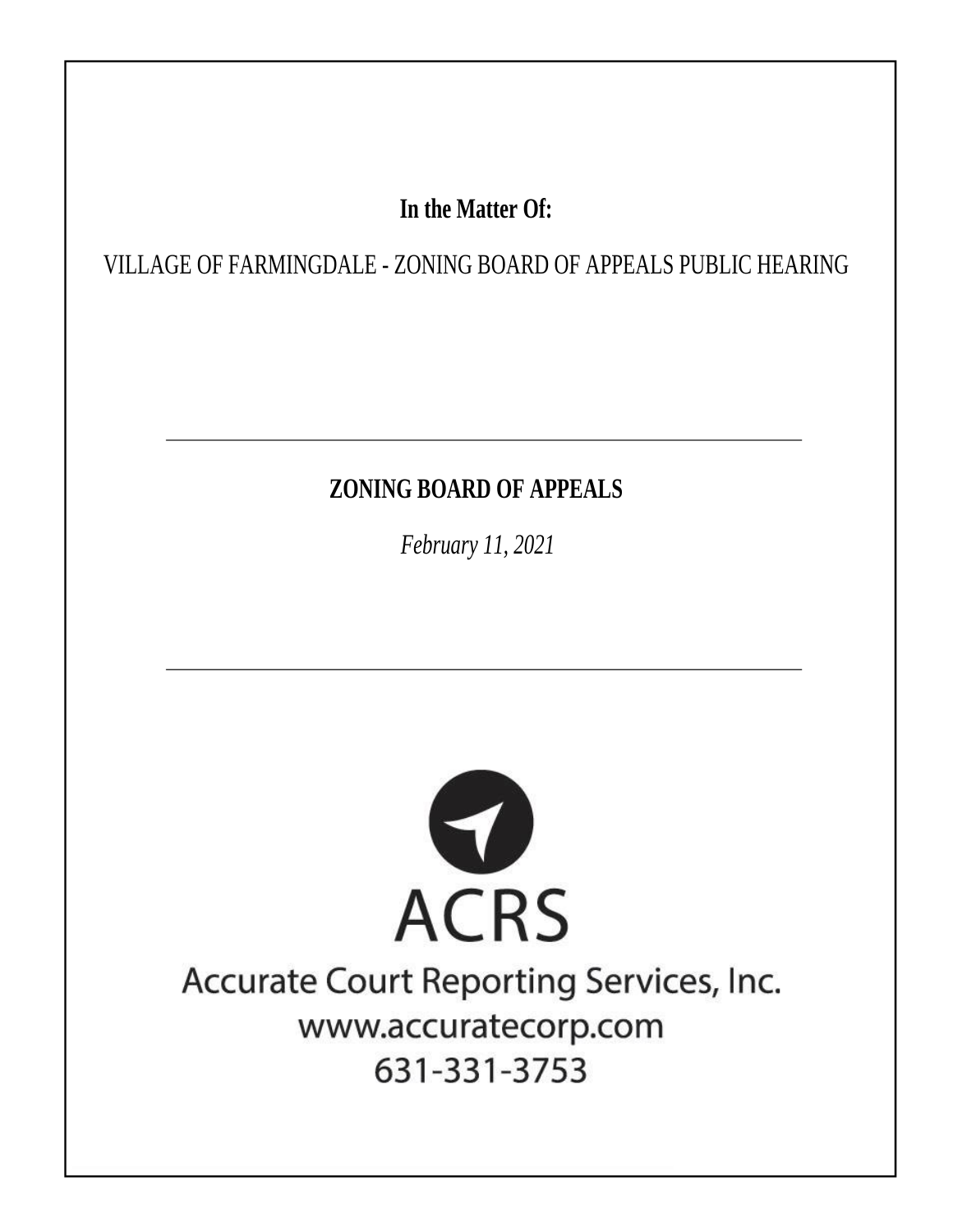# In the Matter Of:

VILLAGE OF FARMINGDALE - ZONING BOARD OF APPEALS PUBLIC HEARING

# **ZONING BOARD OF APPEALS**

February 11, 2021



# Accurate Court Reporting Services, Inc. www.accuratecorp.com 631-331-3753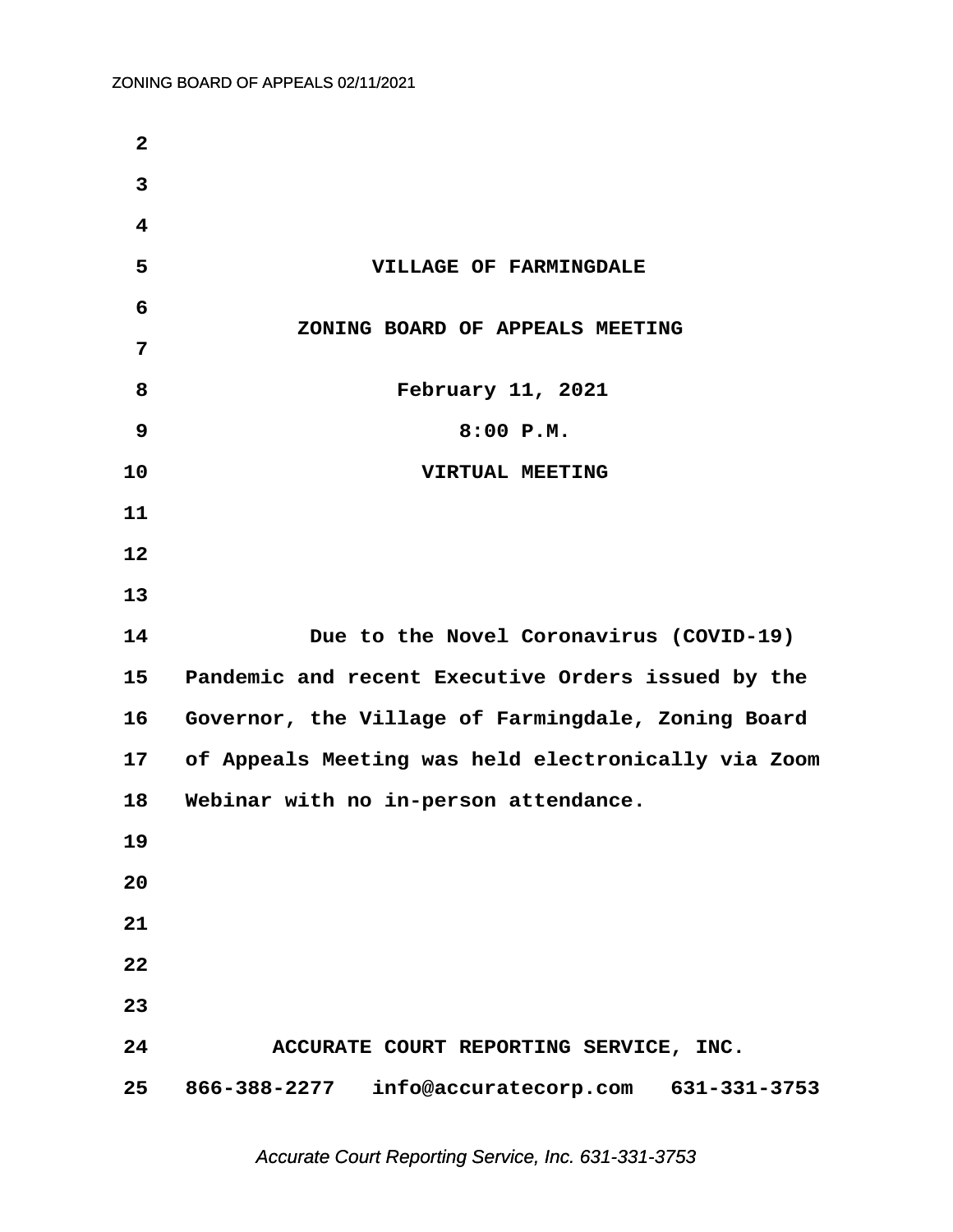| $\mathbf{2}$            |                                                     |
|-------------------------|-----------------------------------------------------|
| 3                       |                                                     |
| $\overline{\mathbf{4}}$ |                                                     |
| 5                       | VILLAGE OF FARMINGDALE                              |
| 6                       |                                                     |
| 7                       | ZONING BOARD OF APPEALS MEETING                     |
| 8                       | February 11, 2021                                   |
| 9                       | 8:00 P.M.                                           |
| 10                      | VIRTUAL MEETING                                     |
| 11                      |                                                     |
| 12                      |                                                     |
| 13                      |                                                     |
| 14                      | Due to the Novel Coronavirus (COVID-19)             |
| 15                      | Pandemic and recent Executive Orders issued by the  |
| 16                      | Governor, the Village of Farmingdale, Zoning Board  |
| 17                      | of Appeals Meeting was held electronically via Zoom |
| 18                      | Webinar with no in-person attendance.               |
| 19                      |                                                     |
| 20                      |                                                     |
| 21                      |                                                     |
| 22                      |                                                     |
| 23                      |                                                     |
| 24                      | ACCURATE COURT REPORTING SERVICE, INC.              |
| 25                      | 866-388-2277 info@accuratecorp.com 631-331-3753     |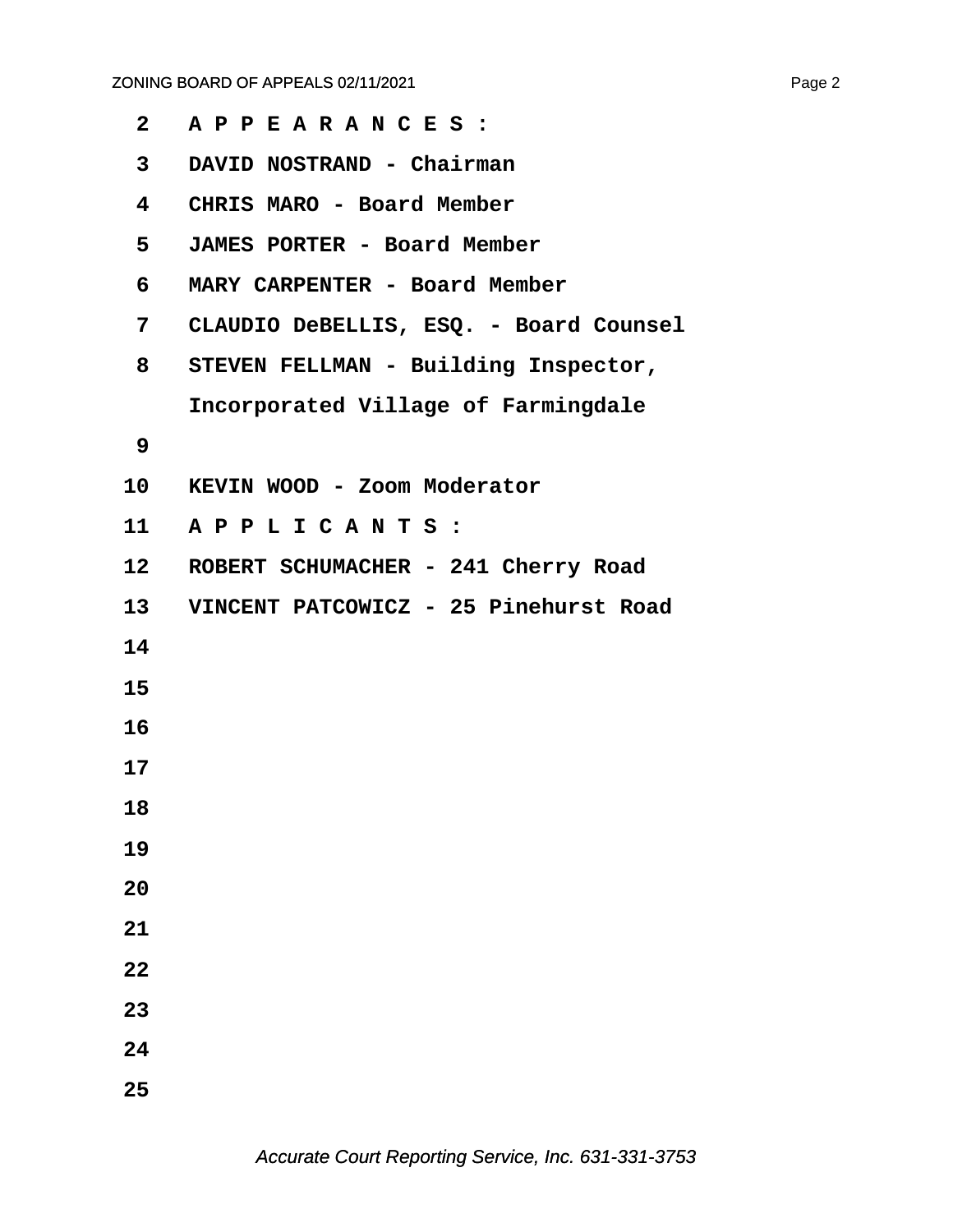| $\mathbf{2}$    | APPEARANCES:                           |
|-----------------|----------------------------------------|
| 3               | DAVID NOSTRAND - Chairman              |
| 4               | CHRIS MARO - Board Member              |
| 5               | JAMES PORTER - Board Member            |
| 6               | MARY CARPENTER - Board Member          |
| 7               | CLAUDIO DeBELLIS, ESQ. - Board Counsel |
| 8               | STEVEN FELLMAN - Building Inspector,   |
|                 | Incorporated Village of Farmingdale    |
| 9               |                                        |
| 10              | KEVIN WOOD - Zoom Moderator            |
| 11              | APPLICANTS:                            |
| 12              | ROBERT SCHUMACHER - 241 Cherry Road    |
| 13 <sup>7</sup> | VINCENT PATCOWICZ - 25 Pinehurst Road  |
| 14              |                                        |
| 15              |                                        |
| 16              |                                        |
| 17              |                                        |
| 18              |                                        |
| 19              |                                        |
| 20              |                                        |
| 21              |                                        |
| 22              |                                        |
| 23              |                                        |
| 24              |                                        |
| 25              |                                        |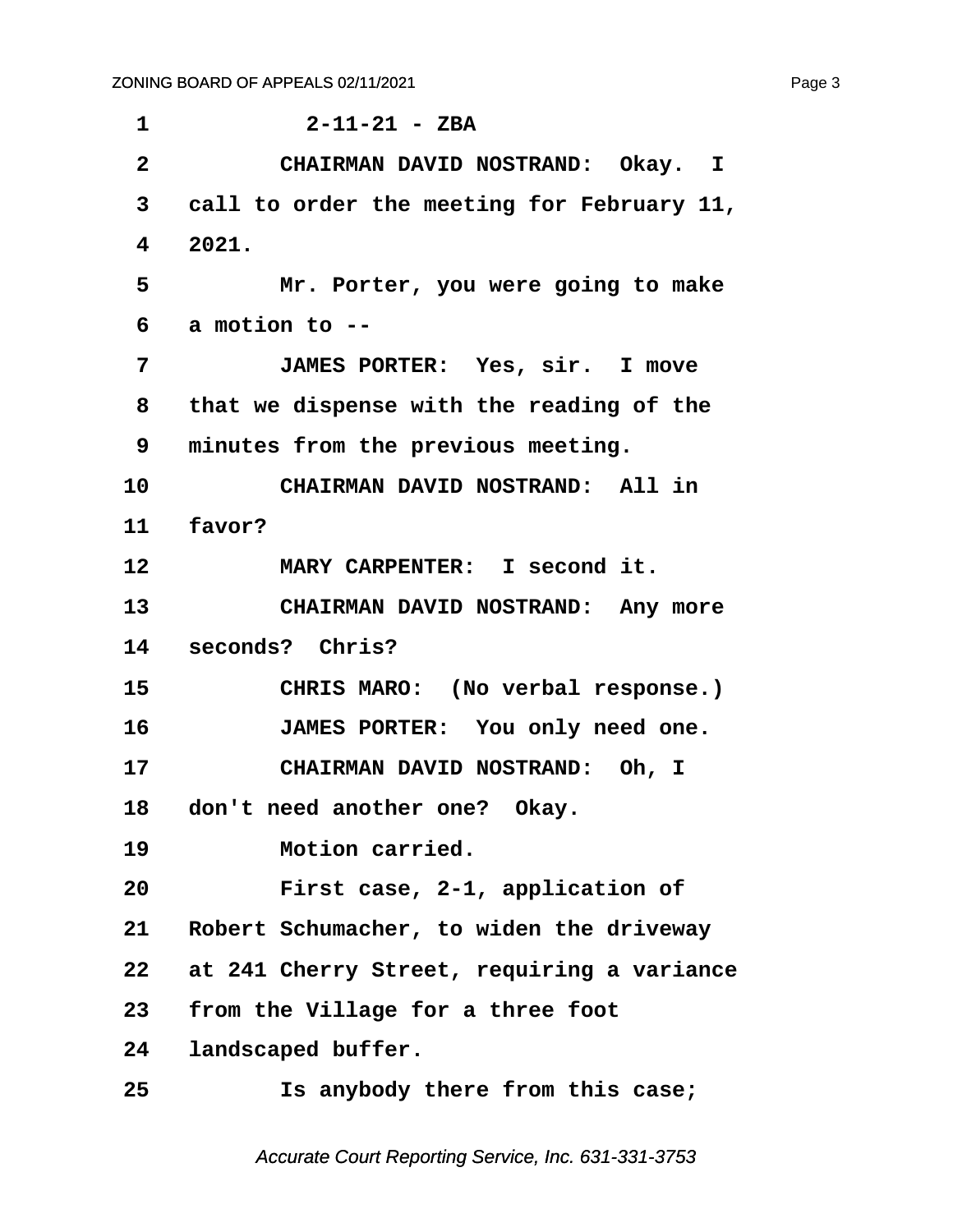<span id="page-3-0"></span>

| 1                       | $2 - 11 - 21 - ZBA$                        |
|-------------------------|--------------------------------------------|
| $\overline{\mathbf{2}}$ | CHAIRMAN DAVID NOSTRAND: Okay. I           |
| 3                       | call to order the meeting for February 11, |
| 4                       | 2021.                                      |
| 5                       | Mr. Porter, you were going to make         |
| 6                       | a motion to --                             |
| 7                       | JAMES PORTER: Yes, sir. I move             |
| 8                       | that we dispense with the reading of the   |
| 9                       | minutes from the previous meeting.         |
| 10                      | CHAIRMAN DAVID NOSTRAND: All in            |
| 11                      | favor?                                     |
| 12                      | MARY CARPENTER: I second it.               |
| 13                      | CHAIRMAN DAVID NOSTRAND: Any more          |
| 14                      | seconds? Chris?                            |
| 15                      | CHRIS MARO: (No verbal response.)          |
| 16                      | JAMES PORTER: You only need one.           |
| 17                      | CHAIRMAN DAVID NOSTRAND: Oh, I             |
| 18                      | don't need another one? Okay.              |
| 19                      | Motion carried.                            |
| 20                      | First case, 2-1, application of            |
| 21                      | Robert Schumacher, to widen the driveway   |
| 22                      | at 241 Cherry Street, requiring a variance |
| 23                      | from the Village for a three foot          |
| 24                      | landscaped buffer.                         |
| 25                      | Is anybody there from this case;           |
|                         |                                            |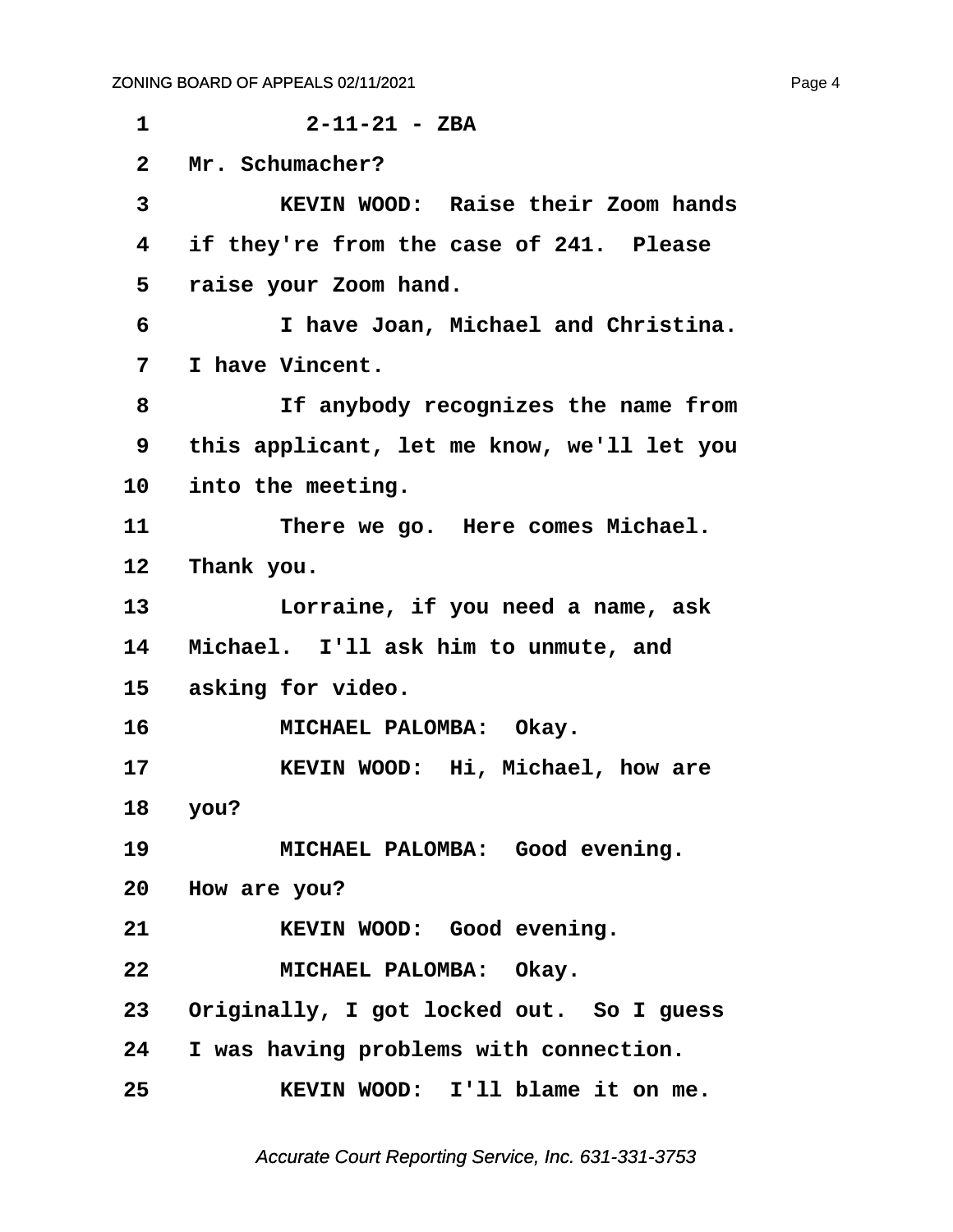<span id="page-4-0"></span>

| 1            | $2 - 11 - 21 - ZBA$                         |
|--------------|---------------------------------------------|
| $\mathbf{2}$ | Mr. Schumacher?                             |
| 3            | KEVIN WOOD: Raise their Zoom hands          |
| 4            | if they're from the case of 241. Please     |
| 5            | raise your Zoom hand.                       |
| 6            | I have Joan, Michael and Christina.         |
| 7            | I have Vincent.                             |
| 8            | If anybody recognizes the name from         |
| 9            | this applicant, let me know, we'll let you  |
| 10           | into the meeting.                           |
| 11           | There we go. Here comes Michael.            |
| 12           | Thank you.                                  |
| 13           | Lorraine, if you need a name, ask           |
| 14           | Michael. I'll ask him to unmute, and        |
| 15           | asking for video.                           |
| 16           | MICHAEL PALOMBA: Okay.                      |
| 17           | KEVIN WOOD: Hi, Michael, how are            |
| 18           | you?                                        |
| 19           | MICHAEL PALOMBA: Good evening.              |
|              | 20 How are you?                             |
| 21           | KEVIN WOOD: Good evening.                   |
| 22           | MICHAEL PALOMBA: Okay.                      |
|              | 23 Originally, I got locked out. So I guess |
|              | 24 I was having problems with connection.   |
| 25           | KEVIN WOOD: I'll blame it on me.            |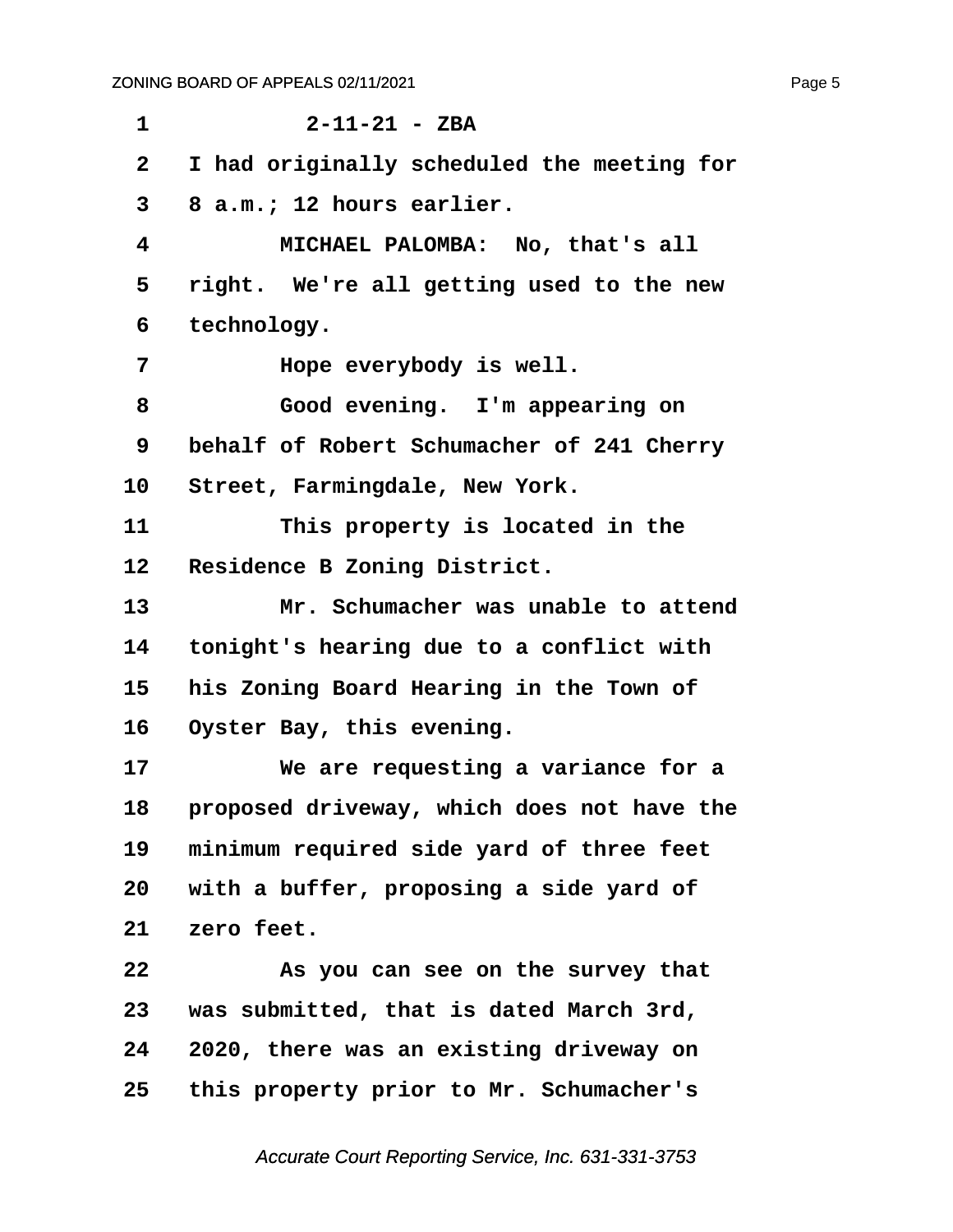<span id="page-5-0"></span>

| $\mathbf 1$  | $2 - 11 - 21 - ZBA$                        |
|--------------|--------------------------------------------|
| $\mathbf{2}$ | I had originally scheduled the meeting for |
| 3            | 8 a.m.; 12 hours earlier.                  |
| 4            | MICHAEL PALOMBA: No, that's all            |
| 5            | right. We're all getting used to the new   |
| 6            | technology.                                |
| 7            | Hope everybody is well.                    |
| 8            | Good evening. I'm appearing on             |
| 9            | behalf of Robert Schumacher of 241 Cherry  |
| 10           | Street, Farmingdale, New York.             |
| 11           | This property is located in the            |
| 12           | Residence B Zoning District.               |
| 13           | Mr. Schumacher was unable to attend        |
| 14           | tonight's hearing due to a conflict with   |
| 15           | his Zoning Board Hearing in the Town of    |
| 16           | Oyster Bay, this evening.                  |
| 17           | We are requesting a variance for a         |
| 18           | proposed driveway, which does not have the |
| 19           | minimum required side yard of three feet   |
| 20           | with a buffer, proposing a side yard of    |
| 21           | zero feet.                                 |
| 22           | As you can see on the survey that          |
| 23           | was submitted, that is dated March 3rd,    |
| 24           | 2020, there was an existing driveway on    |
| 25           | this property prior to Mr. Schumacher's    |
|              |                                            |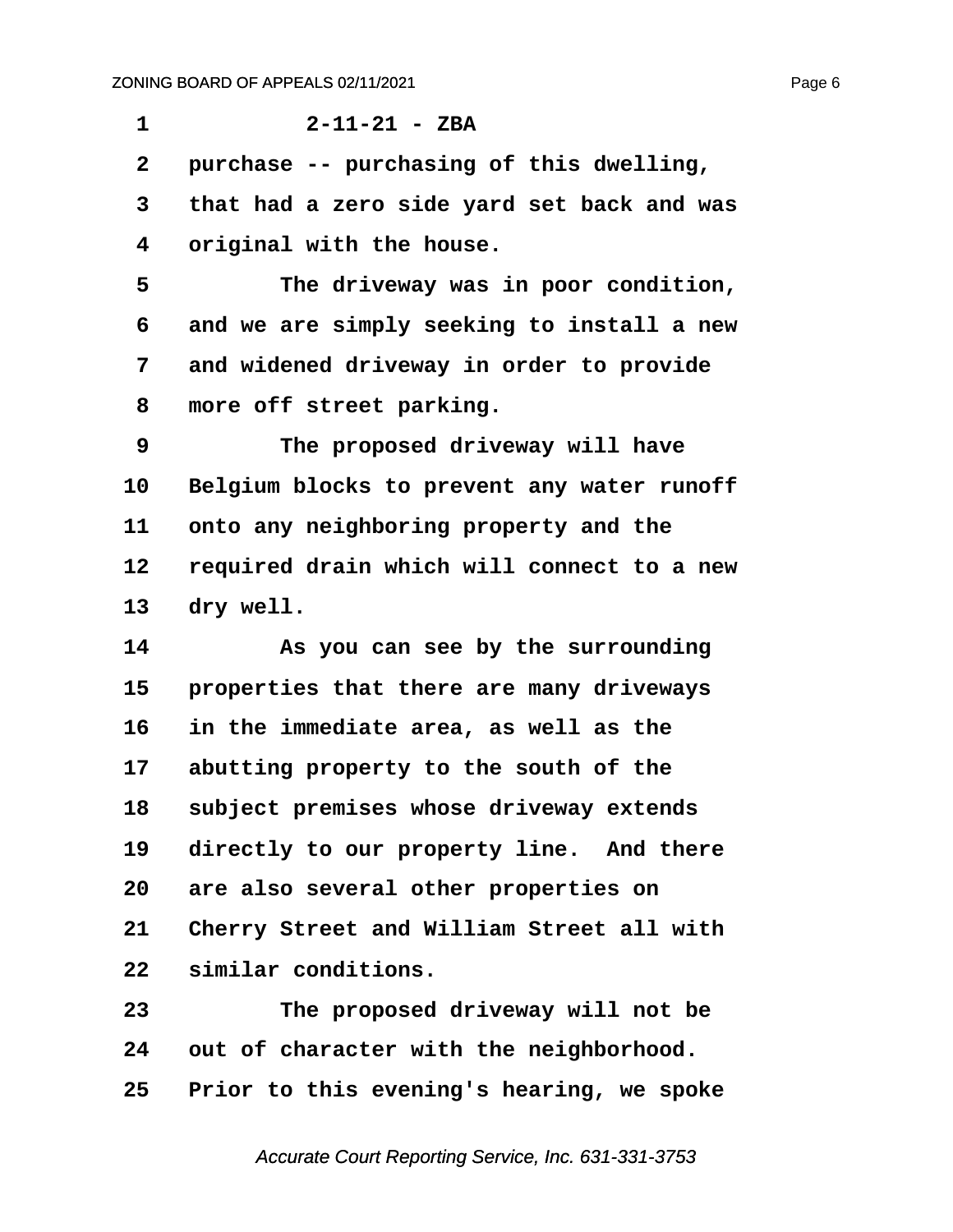<span id="page-6-0"></span>**·1· · · · · · 2-11-21 - ZBA ·2· ·purchase -- purchasing of this dwelling, ·3· ·that had a zero side yard set back and was ·4· ·original with the house. ·5· · · · · The driveway was in poor condition, ·6· ·and we are simply seeking to install a new ·7· ·and widened driveway in order to provide ·8· ·more off street parking. ·9· · · · · The proposed driveway will have** 10 Belgium blocks to prevent any water runoff 11 onto any neighboring property and the **12· ·required drain which will connect to a new** 13 dry well. **14· · · · · As you can see by the surrounding** 15 **properties that there are many driveways 16· ·in the immediate area, as well as the** 17 abutting property to the south of the 18 subject premises whose driveway extends 19 directly to our property line. And there **20· ·are also several other properties on** 21 Cherry Street and William Street all with 22 similar conditions. **23· · · · · The proposed driveway will not be** 24 out of character with the neighborhood.

**25· ·Prior to this evening's hearing, we spoke**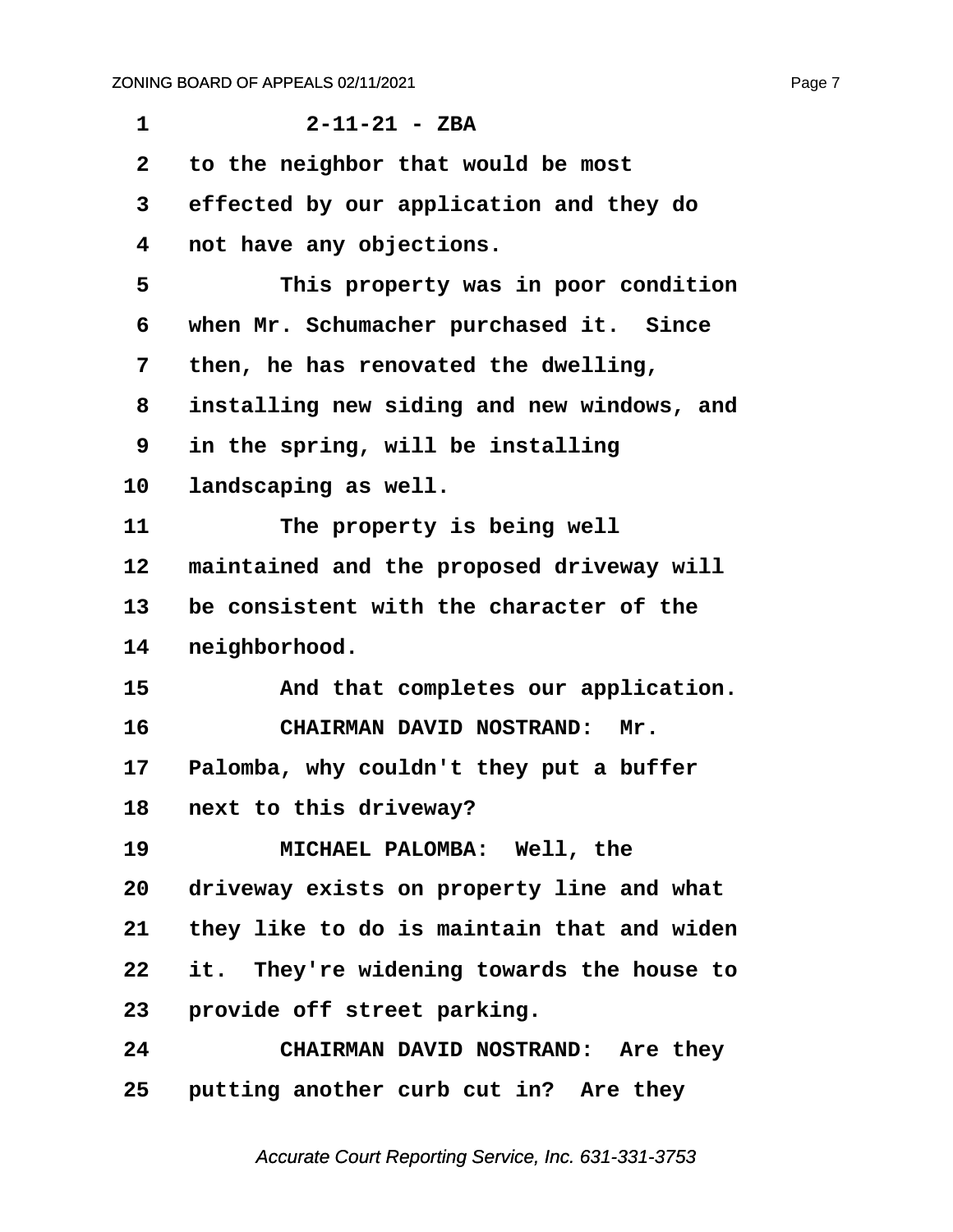<span id="page-7-0"></span>

| 1            | $2 - 11 - 21 - ZBA$                        |
|--------------|--------------------------------------------|
| $\mathbf{2}$ | to the neighbor that would be most         |
| 3            | effected by our application and they do    |
| 4            | not have any objections.                   |
| 5            | This property was in poor condition        |
| 6            | when Mr. Schumacher purchased it. Since    |
| 7            | then, he has renovated the dwelling,       |
| 8            | installing new siding and new windows, and |
| 9            | in the spring, will be installing          |
| 10           | landscaping as well.                       |
| 11           | The property is being well                 |
| 12           | maintained and the proposed driveway will  |
| 13           | be consistent with the character of the    |
| 14           | neighborhood.                              |
| 15           | And that completes our application.        |
| 16           | <b>CHAIRMAN DAVID NOSTRAND:</b><br>Mr.     |
| 17           | Palomba, why couldn't they put a buffer    |
| 18           | next to this driveway?                     |
| 19           | MICHAEL PALOMBA: Well, the                 |
| 20           | driveway exists on property line and what  |
| 21           | they like to do is maintain that and widen |
| 22           | it. They're widening towards the house to  |
| 23           | provide off street parking.                |
| 24           | CHAIRMAN DAVID NOSTRAND: Are they          |
| 25           | putting another curb cut in? Are they      |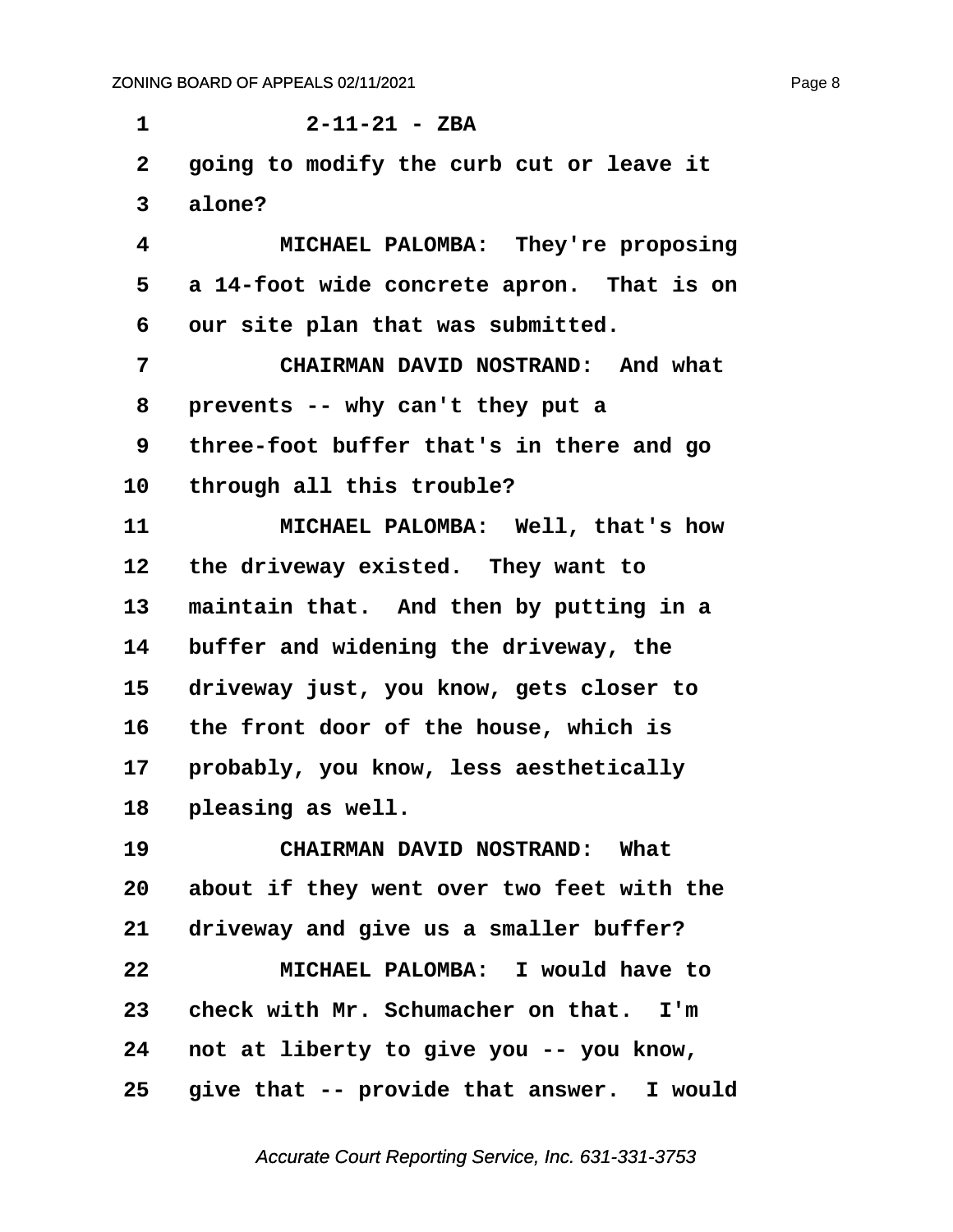<span id="page-8-0"></span>**·1· · · · · · 2-11-21 - ZBA ·2· ·going to modify the curb cut or leave it ·3· ·alone? ·4· · · · · MICHAEL PALOMBA:· They're proposing ·5· ·a 14-foot wide concrete apron.· That is on ·6· ·our site plan that was submitted. ·7· · · · · CHAIRMAN DAVID NOSTRAND:· And what ·8· ·prevents -- why can't they put a ·9· ·three-foot buffer that's in there and go** 10 through all this trouble? 11 **\*\*\* MICHAEL PALOMBA:** Well, that's how 12 the driveway existed. They want to 13 maintain that. And then by putting in a 14 buffer and widening the driveway, the 15 driveway just, you know, gets closer to **16· ·the front door of the house, which is** 17 **probably, you know, less aesthetically** 18 **pleasing as well. 19· · · · · CHAIRMAN DAVID NOSTRAND:· What 20· ·about if they went over two feet with the** 21 driveway and give us a smaller buffer? **22· · · · · MICHAEL PALOMBA:· I would have to** 23 check with Mr. Schumacher on that. I'm **24· ·not at liberty to give you -- you know,** 25 give that -- provide that answer. I would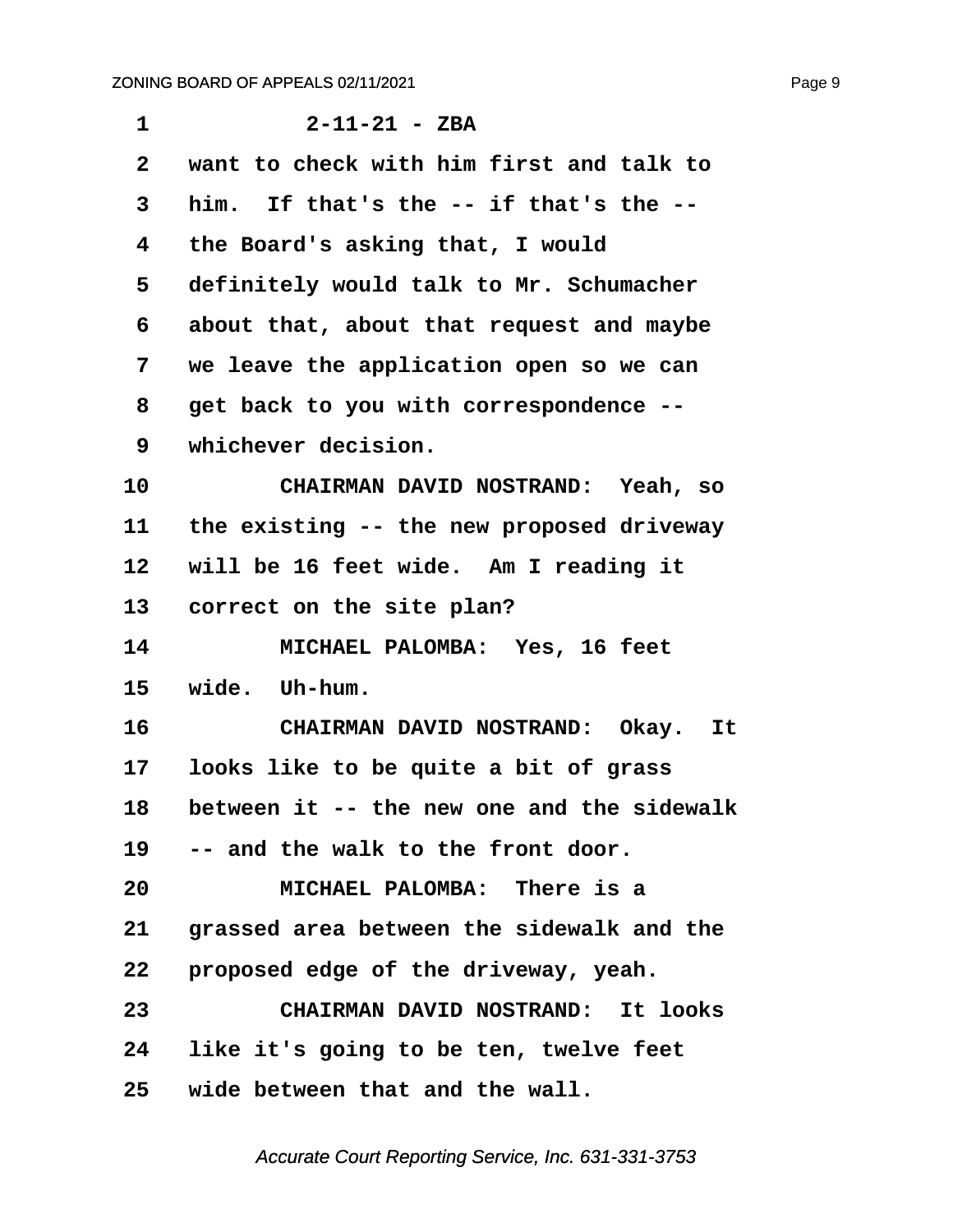<span id="page-9-0"></span>

| $\mathbf{1}$    | $2 - 11 - 21 - ZBA$                        |
|-----------------|--------------------------------------------|
| $\mathbf{2}$    | want to check with him first and talk to   |
| 3               | him. If that's the -- if that's the --     |
| 4               | the Board's asking that, I would           |
| 5               | definitely would talk to Mr. Schumacher    |
| 6               | about that, about that request and maybe   |
| 7               | we leave the application open so we can    |
| 8               | get back to you with correspondence --     |
| 9               | whichever decision.                        |
| 10              | CHAIRMAN DAVID NOSTRAND: Yeah, so          |
| 11              | the existing -- the new proposed driveway  |
| 12              | will be 16 feet wide. Am I reading it      |
| 13 <sup>°</sup> | correct on the site plan?                  |
| 14              | MICHAEL PALOMBA: Yes, 16 feet              |
| 15              | wide. Uh-hum.                              |
| 16              | CHAIRMAN DAVID NOSTRAND: Okay.<br>It       |
| 17              | looks like to be quite a bit of grass      |
| 18              | between it -- the new one and the sidewalk |
|                 | 19 -- and the walk to the front door.      |
| 20              | MICHAEL PALOMBA: There is a                |
| 21              | grassed area between the sidewalk and the  |
| 22              | proposed edge of the driveway, yeah.       |
| 23              | CHAIRMAN DAVID NOSTRAND: It looks          |
| 24              | like it's going to be ten, twelve feet     |
| 25              | wide between that and the wall.            |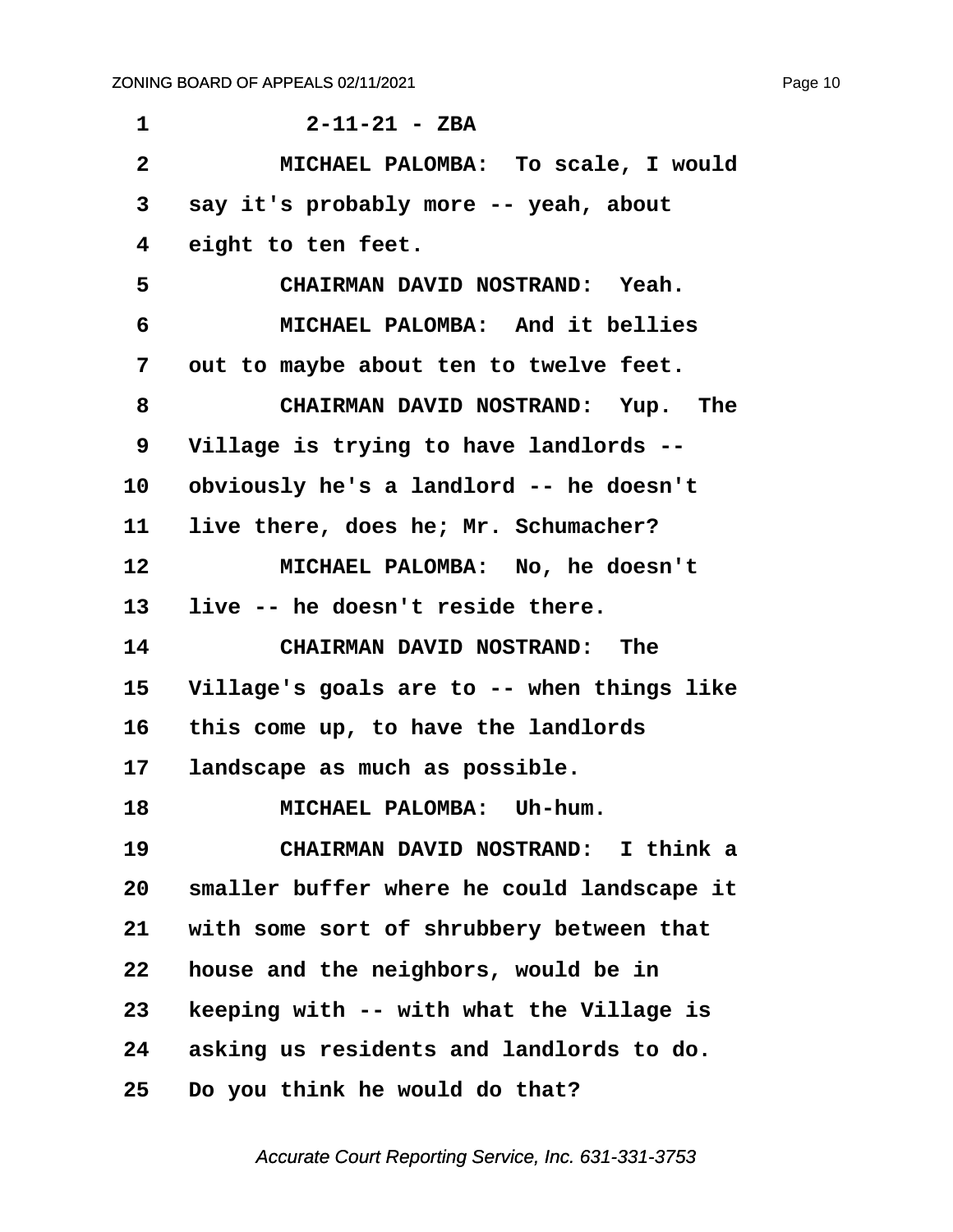<span id="page-10-0"></span>

| 1                       | $2 - 11 - 21 - ZBA$                        |
|-------------------------|--------------------------------------------|
| $\overline{\mathbf{2}}$ | MICHAEL PALOMBA: To scale, I would         |
| 3                       | say it's probably more -- yeah, about      |
| 4                       | eight to ten feet.                         |
| 5                       | CHAIRMAN DAVID NOSTRAND: Yeah.             |
| 6                       | MICHAEL PALOMBA: And it bellies            |
| 7                       | out to maybe about ten to twelve feet.     |
| 8                       | CHAIRMAN DAVID NOSTRAND: Yup. The          |
| 9                       | Village is trying to have landlords --     |
| 10                      | obviously he's a landlord -- he doesn't    |
| 11                      | live there, does he; Mr. Schumacher?       |
| 12                      | MICHAEL PALOMBA: No, he doesn't            |
| 13                      | live -- he doesn't reside there.           |
| 14                      | CHAIRMAN DAVID NOSTRAND: The               |
| 15                      | Village's goals are to -- when things like |
| 16                      | this come up, to have the landlords        |
| 17 <sub>2</sub>         | landscape as much as possible.             |
| 18                      | MICHAEL PALOMBA: Uh-hum.                   |
| 19                      | CHAIRMAN DAVID NOSTRAND: I think a         |
| 20                      | smaller buffer where he could landscape it |
| 21                      | with some sort of shrubbery between that   |
| 22                      | house and the neighbors, would be in       |
| 23                      | keeping with -- with what the Village is   |
| 24                      | asking us residents and landlords to do.   |
| 25                      | Do you think he would do that?             |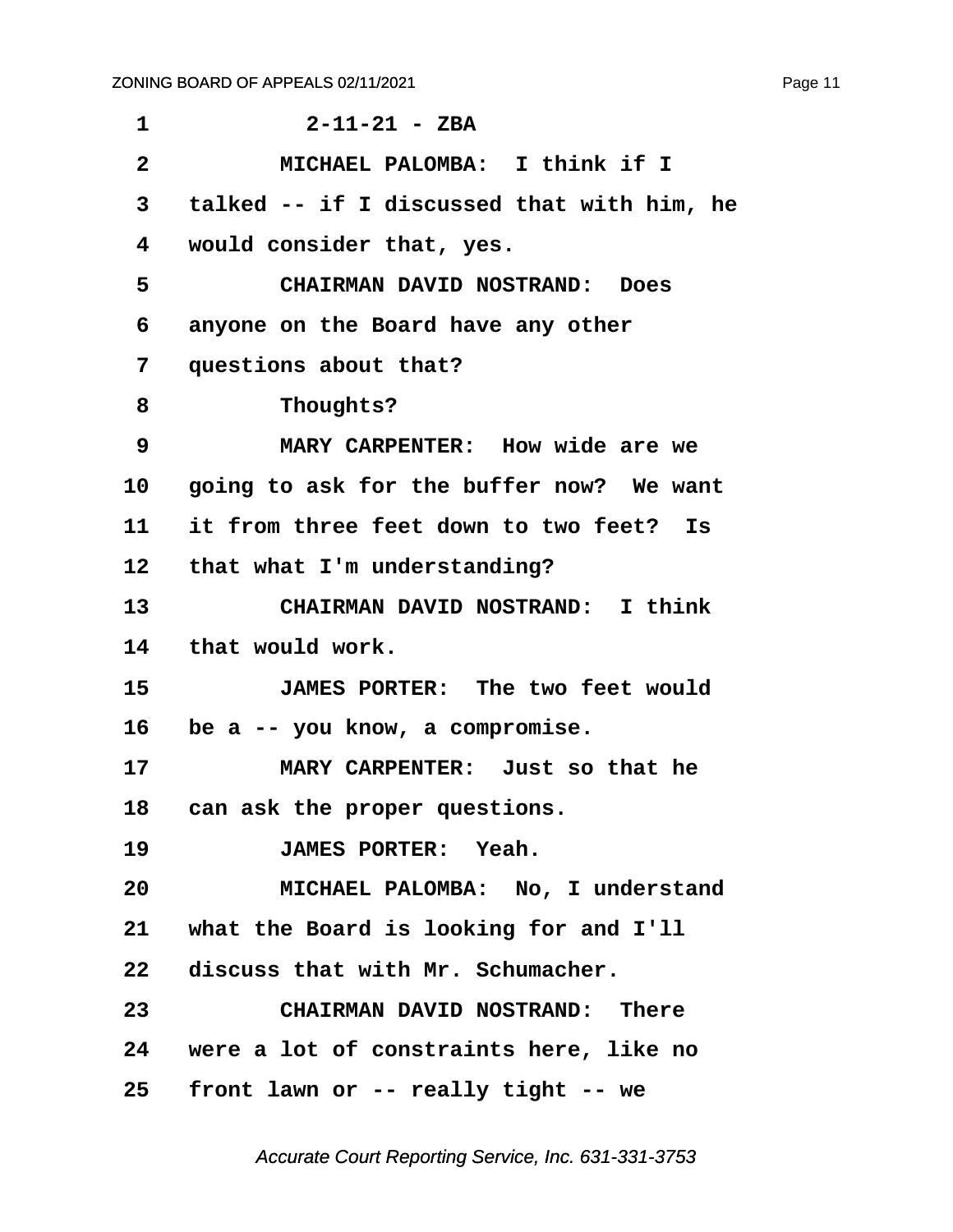<span id="page-11-0"></span>

| 1               | $2 - 11 - 21 - ZBA$                        |
|-----------------|--------------------------------------------|
| $\mathbf{2}$    | MICHAEL PALOMBA: I think if I              |
| 3               | talked -- if I discussed that with him, he |
| 4               | would consider that, yes.                  |
| 5               | <b>CHAIRMAN DAVID NOSTRAND: Does</b>       |
| 6               | anyone on the Board have any other         |
| 7               | questions about that?                      |
| 8               | Thoughts?                                  |
| 9               | MARY CARPENTER: How wide are we            |
| 10 <sub>1</sub> | going to ask for the buffer now? We want   |
| 11              | it from three feet down to two feet? Is    |
| 12 <sup>7</sup> | that what I'm understanding?               |
| 13              | CHAIRMAN DAVID NOSTRAND: I think           |
| 14              | that would work.                           |
| 15              | JAMES PORTER: The two feet would           |
| 16              | be a -- you know, a compromise.            |
| 17              | MARY CARPENTER: Just so that he            |
| 18              | can ask the proper questions.              |
| 19              | JAMES PORTER: Yeah.                        |
| 20              | MICHAEL PALOMBA: No, I understand          |
|                 | 21 what the Board is looking for and I'll  |
|                 | 22 discuss that with Mr. Schumacher.       |
| 23              | CHAIRMAN DAVID NOSTRAND: There             |
|                 | 24 were a lot of constraints here, like no |
| 25              | front lawn or -- really tight -- we        |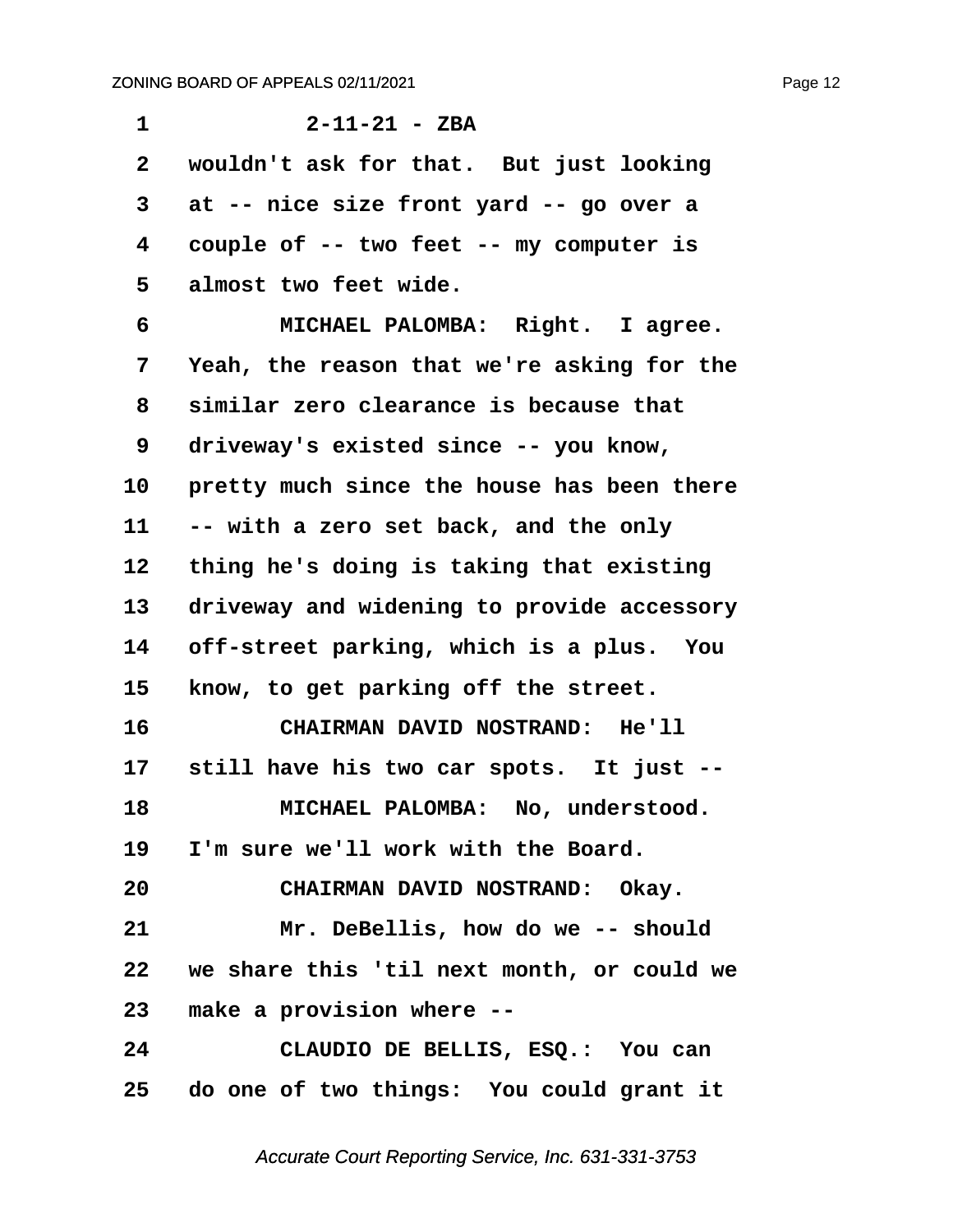<span id="page-12-0"></span>

| 1               | $2 - 11 - 21 - ZBA$                        |
|-----------------|--------------------------------------------|
| $\overline{2}$  | wouldn't ask for that. But just looking    |
| 3               | at -- nice size front yard -- go over a    |
| 4               | couple of -- two feet -- my computer is    |
| 5               | almost two feet wide.                      |
| 6               | MICHAEL PALOMBA: Right. I agree.           |
| 7               | Yeah, the reason that we're asking for the |
| 8               | similar zero clearance is because that     |
| 9               | driveway's existed since -- you know,      |
| 10              | pretty much since the house has been there |
| 11              | -- with a zero set back, and the only      |
| 12              | thing he's doing is taking that existing   |
| 13              | driveway and widening to provide accessory |
| 14              | off-street parking, which is a plus. You   |
| 15              | know, to get parking off the street.       |
| 16              | CHAIRMAN DAVID NOSTRAND: He'll             |
| 17              | still have his two car spots. It just --   |
| 18              | MICHAEL PALOMBA: No, understood.           |
|                 | 19 I'm sure we'll work with the Board.     |
| 20              | CHAIRMAN DAVID NOSTRAND: Okay.             |
| 21              | Mr. DeBellis, how do we -- should          |
| 22              | we share this 'til next month, or could we |
| 23              | make a provision where --                  |
| 24              | CLAUDIO DE BELLIS, ESQ.: You can           |
| 25 <sub>2</sub> | do one of two things: You could grant it   |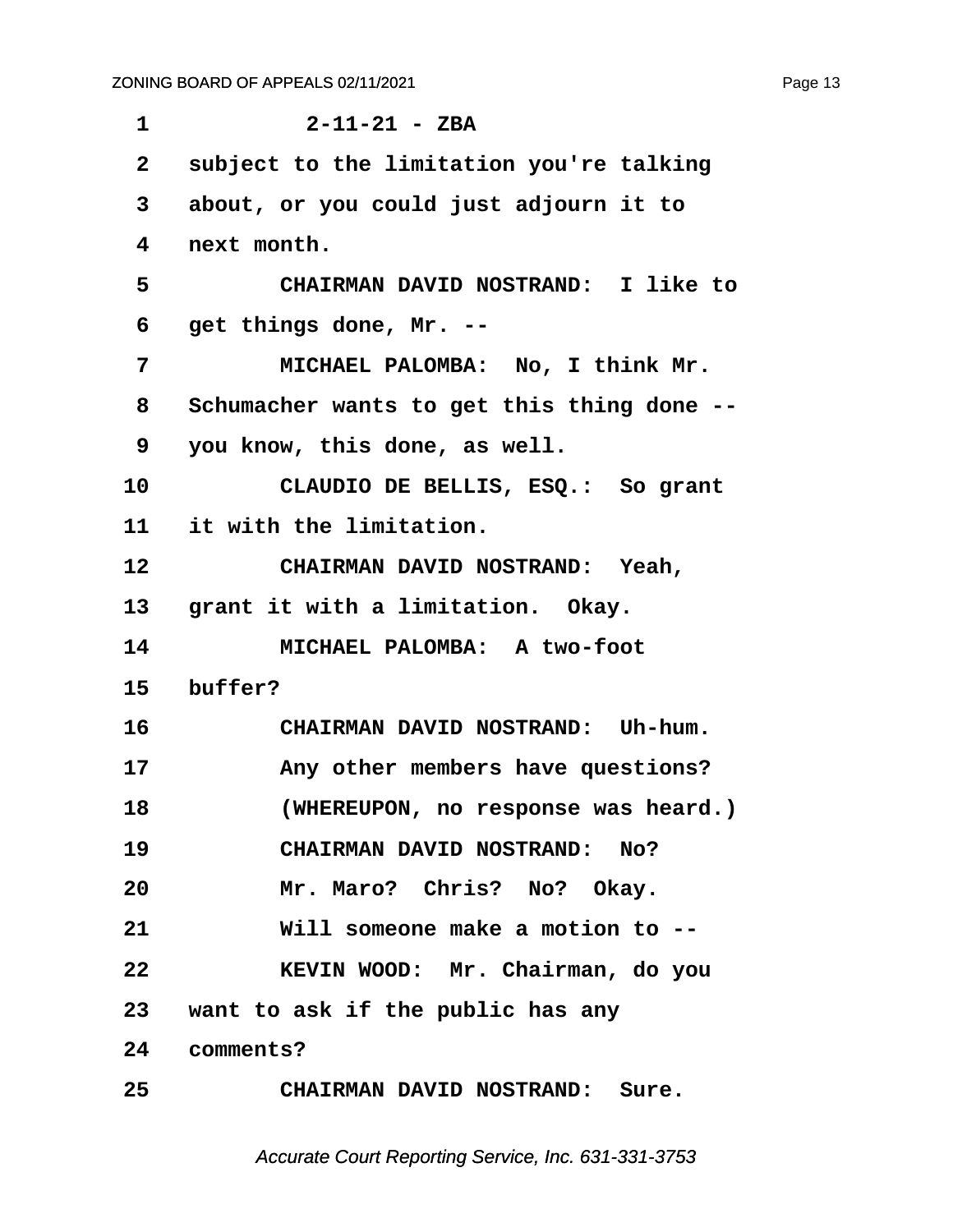<span id="page-13-0"></span>

| $\mathbf 1$     | $2 - 11 - 21 - ZBA$                        |
|-----------------|--------------------------------------------|
| $\mathbf{2}$    | subject to the limitation you're talking   |
| 3               | about, or you could just adjourn it to     |
| 4               | next month.                                |
| 5               | CHAIRMAN DAVID NOSTRAND: I like to         |
| 6               | get things done, Mr. --                    |
| 7               | MICHAEL PALOMBA: No, I think Mr.           |
| 8               | Schumacher wants to get this thing done -- |
| 9               | you know, this done, as well.              |
| 10              | CLAUDIO DE BELLIS, ESQ.: So grant          |
| 11              | it with the limitation.                    |
| 12              | CHAIRMAN DAVID NOSTRAND: Yeah,             |
| 13 <sub>1</sub> | grant it with a limitation. Okay.          |
| 14              | MICHAEL PALOMBA: A two-foot                |
| 15              | buffer?                                    |
| 16              | CHAIRMAN DAVID NOSTRAND: Uh-hum.           |
| 17              | Any other members have questions?          |
| 18              | (WHEREUPON, no response was heard.)        |
| 19              | CHAIRMAN DAVID NOSTRAND: No?               |
| 20              | Mr. Maro? Chris? No? Okay.                 |
| 21              | Will someone make a motion to --           |
| 22              | KEVIN WOOD: Mr. Chairman, do you           |
|                 | 23 want to ask if the public has any       |
|                 | 24 comments?                               |
| 25              | CHAIRMAN DAVID NOSTRAND: Sure.             |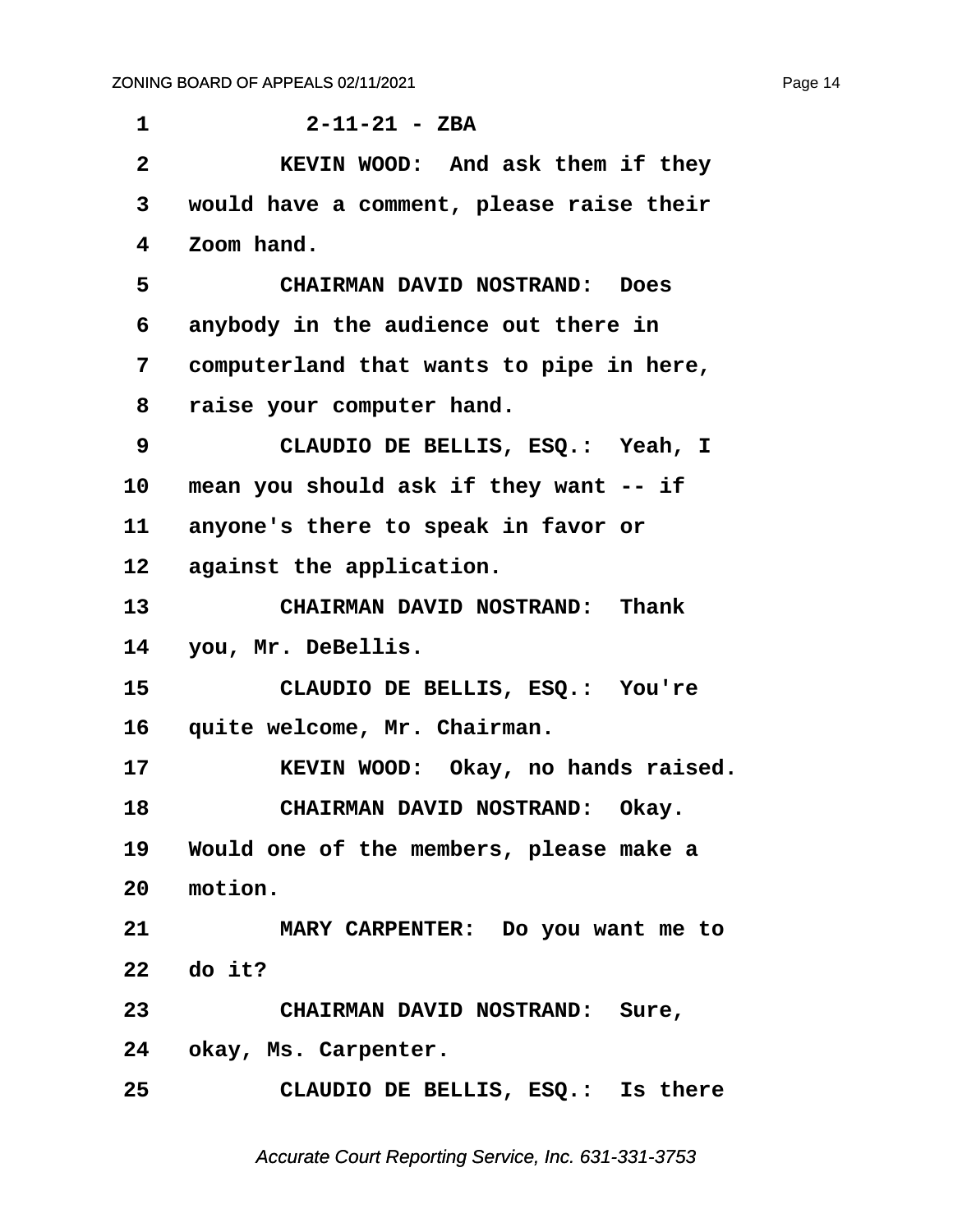<span id="page-14-0"></span>**·1· · · · · · 2-11-21 - ZBA ·2· · · · · KEVIN WOOD:· And ask them if they ·3· ·would have a comment, please raise their ·4· ·Zoom hand. ·5· · · · · CHAIRMAN DAVID NOSTRAND:· Does ·6· ·anybody in the audience out there in ·7· ·computerland that wants to pipe in here, ·8· ·raise your computer hand. ·9· · · · · CLAUDIO DE BELLIS, ESQ.:· Yeah, I** 10 mean you should ask if they want -- if 11 anyone's there to speak in favor or 12 against the application. 13 **• CHAIRMAN DAVID NOSTRAND:** Thank **14· ·you, Mr. DeBellis. 15· · · · · CLAUDIO DE BELLIS, ESQ.:· You're** 16 quite welcome, Mr. Chairman. **17· · · · · KEVIN WOOD:· Okay, no hands raised.** 18 **· · CHAIRMAN DAVID NOSTRAND:** Okay. **19· ·Would one of the members, please make a** 20 motion. **21· · · · · MARY CARPENTER:· Do you want me to 22· ·do it? 23· · · · · CHAIRMAN DAVID NOSTRAND:· Sure,** 24 okay, Ms. Carpenter. **25· · · · · CLAUDIO DE BELLIS, ESQ.:· Is there**

Accurate Court Reporting Service, Inc. 631-331-3753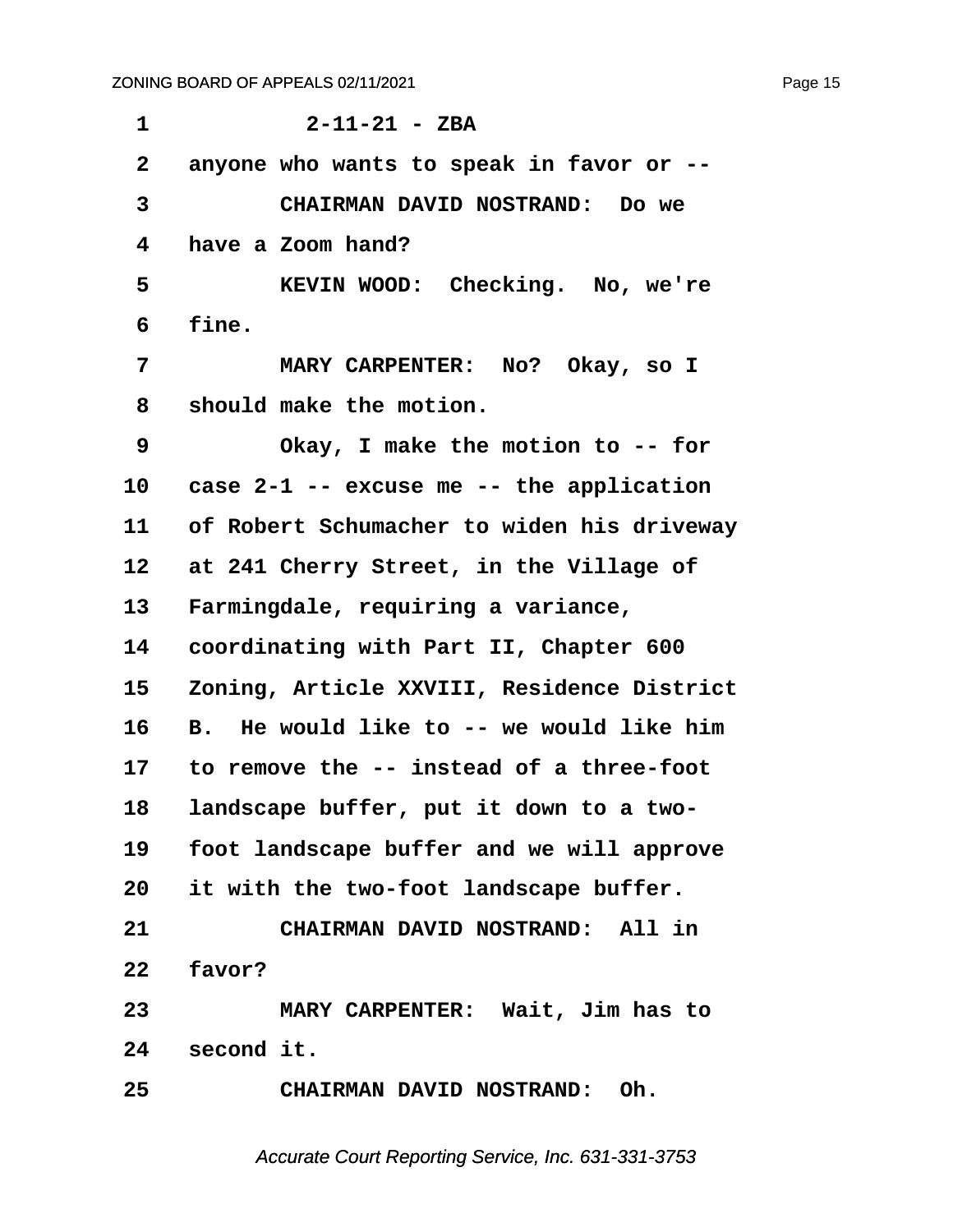<span id="page-15-0"></span>

| $\mathbf 1$  | $2 - 11 - 21 - ZBA$                        |
|--------------|--------------------------------------------|
| $\mathbf{2}$ | anyone who wants to speak in favor or --   |
| 3            | CHAIRMAN DAVID NOSTRAND: Do we             |
| 4            | have a Zoom hand?                          |
| 5            | KEVIN WOOD: Checking. No, we're            |
| 6            | fine.                                      |
| 7            | MARY CARPENTER: No? Okay, so I             |
| 8            | should make the motion.                    |
| 9            | Okay, I make the motion to -- for          |
| 10           | case 2-1 -- excuse me -- the application   |
| 11           | of Robert Schumacher to widen his driveway |
| 12           | at 241 Cherry Street, in the Village of    |
| 13           | Farmingdale, requiring a variance,         |
| 14           | coordinating with Part II, Chapter 600     |
| 15           | Zoning, Article XXVIII, Residence District |
| 16           | B. He would like to -- we would like him   |
| 17           | to remove the -- instead of a three-foot   |
| 18           | landscape buffer, put it down to a two-    |
| 19           | foot landscape buffer and we will approve  |
| 20           | it with the two-foot landscape buffer.     |
| 21           | CHAIRMAN DAVID NOSTRAND: All in            |
| 22           | favor?                                     |
| 23           | MARY CARPENTER: Wait, Jim has to           |
| 24           | second it.                                 |
| 25           | CHAIRMAN DAVID NOSTRAND: Oh.               |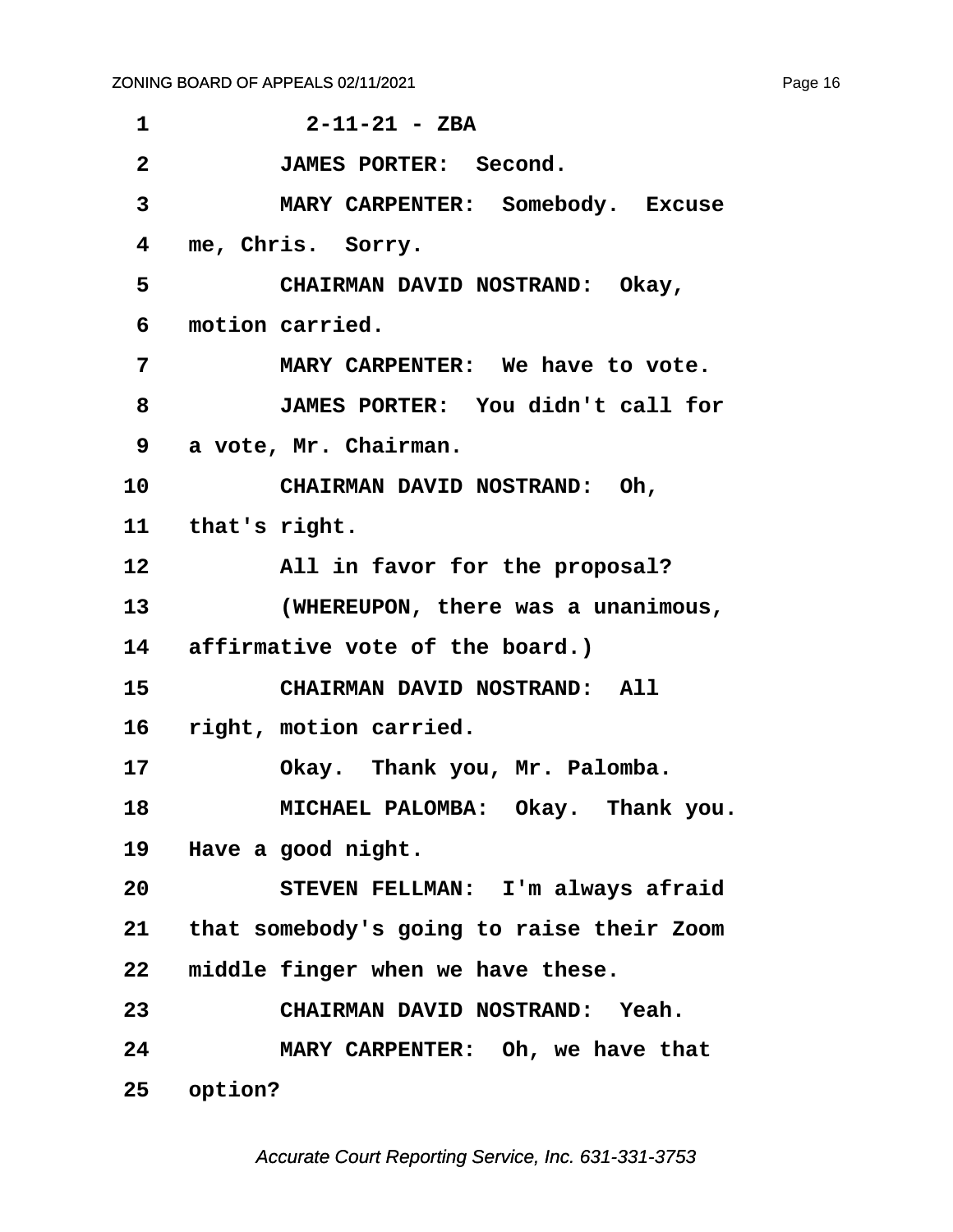<span id="page-16-0"></span>

| 1               | $2 - 11 - 21 - ZBA$                          |
|-----------------|----------------------------------------------|
| $\overline{2}$  | <b>JAMES PORTER: Second.</b>                 |
| 3               | MARY CARPENTER: Somebody. Excuse             |
| 4               | me, Chris. Sorry.                            |
| 5               | CHAIRMAN DAVID NOSTRAND: Okay,               |
| 6               | motion carried.                              |
| 7               | MARY CARPENTER: We have to vote.             |
| 8               | JAMES PORTER: You didn't call for            |
| 9               | a vote, Mr. Chairman.                        |
| 10              | CHAIRMAN DAVID NOSTRAND: Oh,                 |
|                 | 11 that's right.                             |
| 12              | All in favor for the proposal?               |
| 13 <sub>1</sub> | (WHEREUPON, there was a unanimous,           |
|                 | 14 affirmative vote of the board.)           |
| 15 <sub>1</sub> | CHAIRMAN DAVID NOSTRAND: All                 |
|                 | 16 right, motion carried.                    |
| 17              | Okay. Thank you, Mr. Palomba.                |
| 18              | MICHAEL PALOMBA: Okay. Thank you.            |
| 19              | Have a good night.                           |
| 20              | STEVEN FELLMAN: I'm always afraid            |
|                 | 21 that somebody's going to raise their Zoom |
| 22              | middle finger when we have these.            |
| 23              | CHAIRMAN DAVID NOSTRAND: Yeah.               |
| 24              | MARY CARPENTER: Oh, we have that             |
| 25 <sub>2</sub> | option?                                      |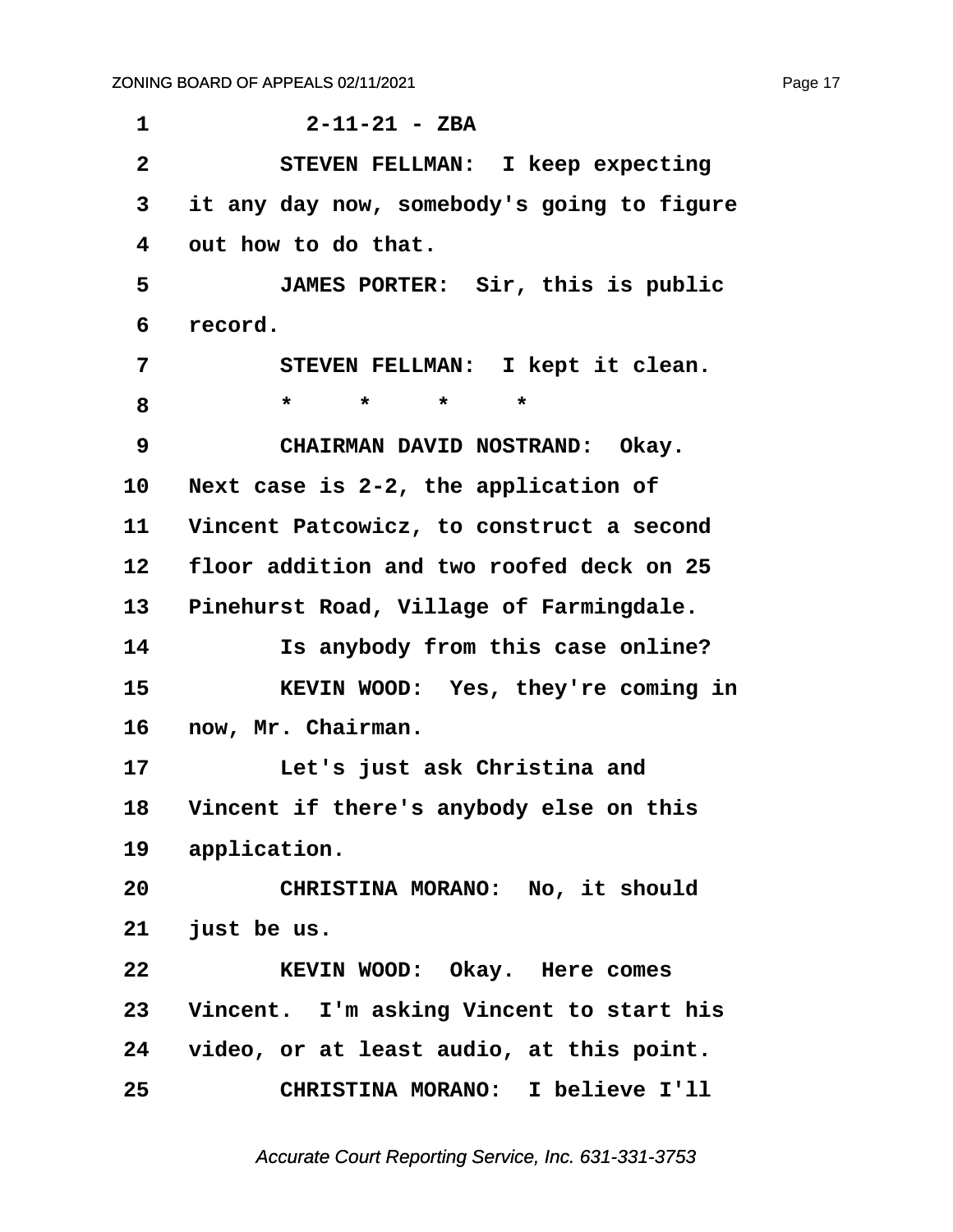<span id="page-17-0"></span>**·1· · · · · · 2-11-21 - ZBA ·2· · · · · STEVEN FELLMAN:· I keep expecting ·3· ·it any day now, somebody's going to figure ·4· ·out how to do that. ·5· · · · · JAMES PORTER:· Sir, this is public ·6· ·record.** 7 · · · STEVEN FELLMAN: I kept it clean. **·8· · · · · \*· · ·\*· · ·\*· · ·\*** 9 **· · CHAIRMAN DAVID NOSTRAND: Okay.** 10 Next case is 2-2, the application of 11 Vincent Patcowicz, to construct a second **12· ·floor addition and two roofed deck on 25** 13 Pinehurst Road, Village of Farmingdale. **14· · · · · Is anybody from this case online? 15· · · · · KEVIN WOOD:· Yes, they're coming in** 16 now, Mr. Chairman. 17 **· · · · Let's just ask Christina and** 18 Vincent if there's anybody else on this 19 application. **20· · · · · CHRISTINA MORANO:· No, it should 21· ·just be us. 22· · · · · KEVIN WOOD:· Okay.· Here comes** 23 Vincent. I'm asking Vincent to start his **24· ·video, or at least audio, at this point. 25· · · · · CHRISTINA MORANO:· I believe I'll**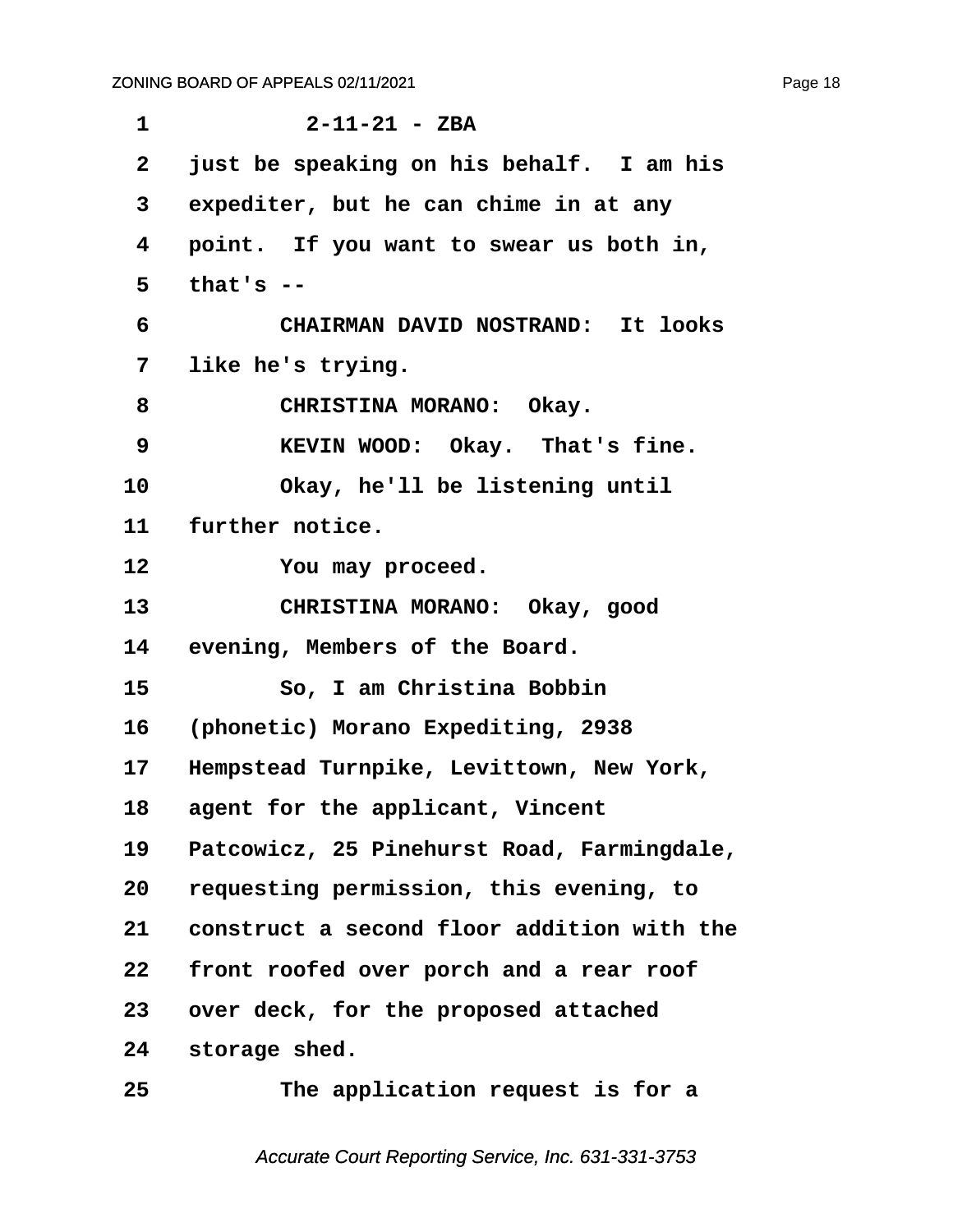<span id="page-18-0"></span>**·1· · · · · · 2-11-21 - ZBA ·2· ·just be speaking on his behalf.· I am his ·3· ·expediter, but he can chime in at any ·4· ·point.· If you want to swear us both in, ·5· ·that's -- ·6· · · · · CHAIRMAN DAVID NOSTRAND:· It looks ·7· ·like he's trying.** 8 **CHRISTINA MORANO:** Okay. **·9· · · · · KEVIN WOOD:· Okay.· That's fine.** 10 Okay, he'll be listening until 11 further notice. **12· · · · · You may proceed.** 13 **· CHRISTINA MORANO:** Okay, good 14 evening, Members of the Board. **15· · · · · So, I am Christina Bobbin 16· ·(phonetic) Morano Expediting, 2938** 17 Hempstead Turnpike, Levittown, New York, 18 agent for the applicant, Vincent **19· ·Patcowicz, 25 Pinehurst Road, Farmingdale, 20· ·requesting permission, this evening, to 21· ·construct a second floor addition with the 22· ·front roofed over porch and a rear roof** 23 over deck, for the proposed attached 24 storage shed. **25· · · · · The application request is for a**

Accurate Court Reporting Service, Inc. 631-331-3753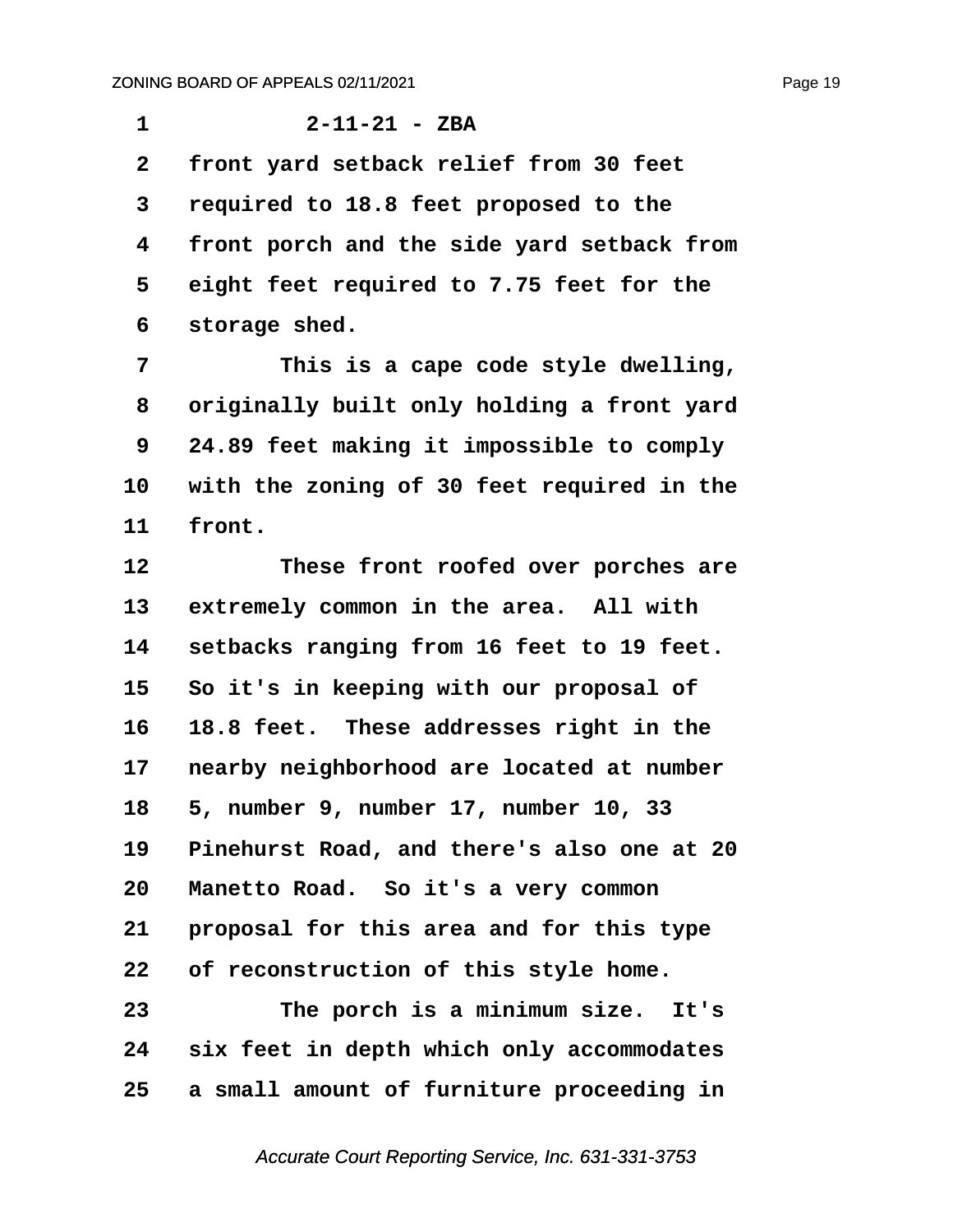<span id="page-19-0"></span>**·1· · · · · · 2-11-21 - ZBA ·2· ·front yard setback relief from 30 feet ·3· ·required to 18.8 feet proposed to the ·4· ·front porch and the side yard setback from ·5· ·eight feet required to 7.75 feet for the ·6· ·storage shed. ·7· · · · · This is a cape code style dwelling, ·8· ·originally built only holding a front yard**

**·9· ·24.89 feet making it impossible to comply** 10 with the zoning of 30 feet required in the 11 front.

**12· · · · · These front roofed over porches are** 13 extremely common in the area. All with **14· ·setbacks ranging from 16 feet to 19 feet. 15· ·So it's in keeping with our proposal of** 16 **18.8 feet.** These addresses right in the 17 nearby neighborhood are located at number **18· ·5, number 9, number 17, number 10, 33 19· ·Pinehurst Road, and there's also one at 20** 20 Manetto Road. So it's a very common 21 **proposal for this area and for this type 22· ·of reconstruction of this style home. 23· · · · · The porch is a minimum size.· It's 24· ·six feet in depth which only accommodates**

**25· ·a small amount of furniture proceeding in**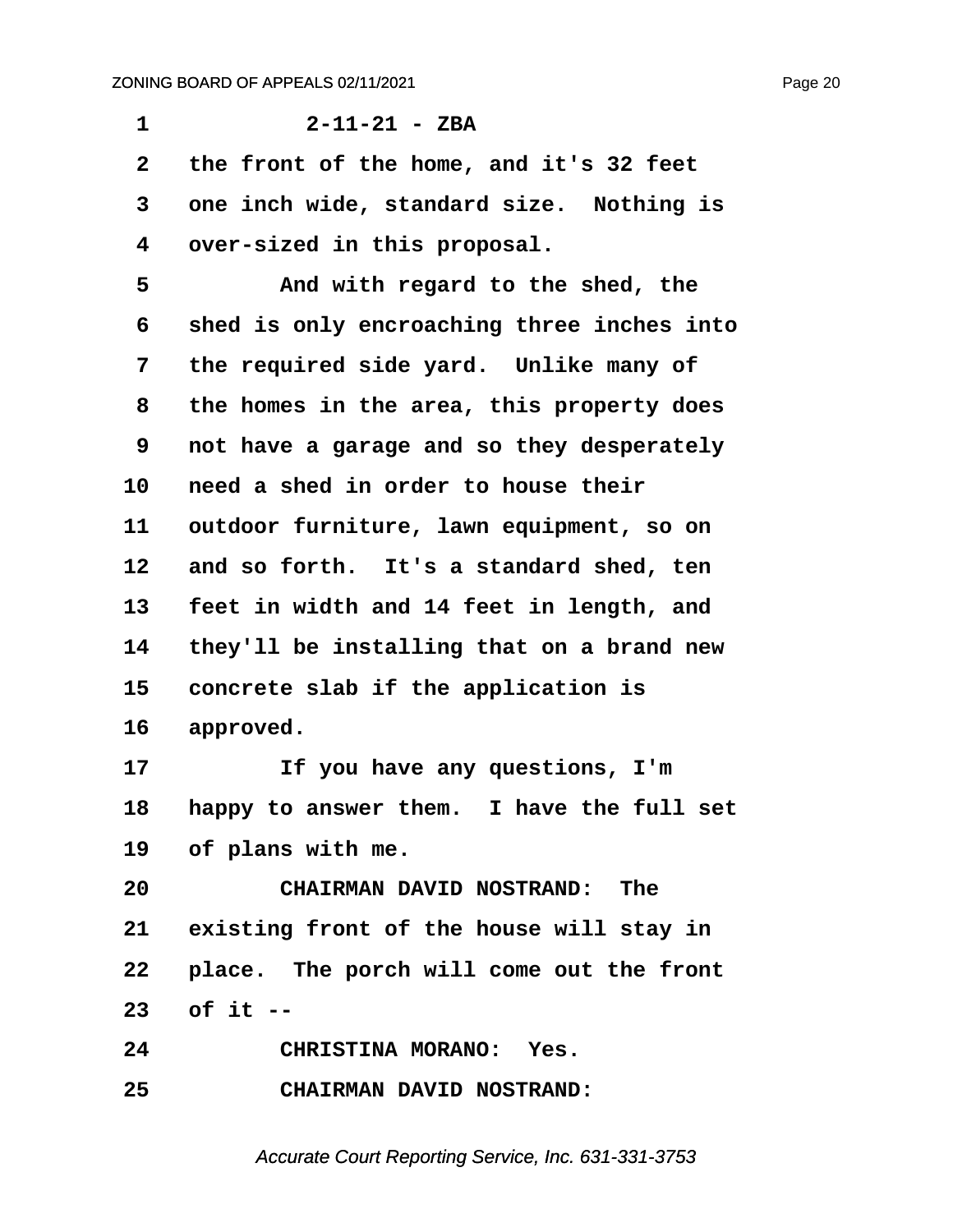<span id="page-20-0"></span>**·1· · · · · · 2-11-21 - ZBA ·2· ·the front of the home, and it's 32 feet** 3 one inch wide, standard size. Nothing is **·4· ·over-sized in this proposal. ·5· · · · · And with regard to the shed, the ·6· ·shed is only encroaching three inches into ·7· ·the required side yard.· Unlike many of ·8· ·the homes in the area, this property does ·9· ·not have a garage and so they desperately 10· ·need a shed in order to house their** 11 outdoor furniture, lawn equipment, so on 12 and so forth. It's a standard shed, ten **13· ·feet in width and 14 feet in length, and 14· ·they'll be installing that on a brand new** 15 concrete slab if the application is 16 approved. 17 **11 If you have any questions, I'm** 18 happy to answer them. I have the full set 19 of plans with me. **20· · · · · CHAIRMAN DAVID NOSTRAND:· The** 21 existing front of the house will stay in 22 place. The porch will come out the front **23· ·of it -- 24· · · · · CHRISTINA MORANO:· Yes. 25· · · · · CHAIRMAN DAVID NOSTRAND:**

Accurate Court Reporting Service, Inc. 631-331-3753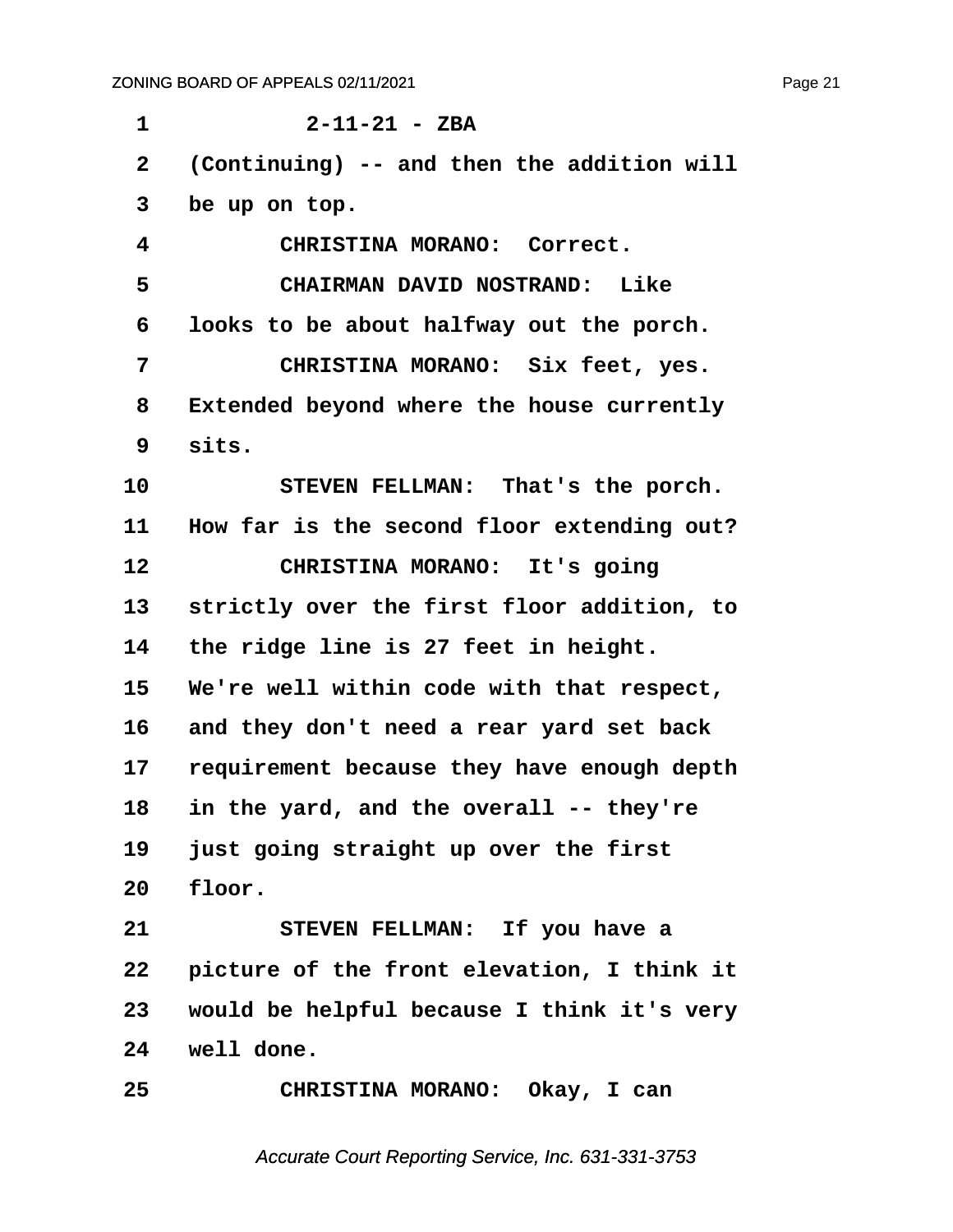<span id="page-21-0"></span>**·1· · · · · · 2-11-21 - ZBA ·2· ·(Continuing) -- and then the addition will ·3· ·be up on top. ·4· · · · · CHRISTINA MORANO:· Correct. ·5· · · · · CHAIRMAN DAVID NOSTRAND:· Like ·6· ·looks to be about halfway out the porch. ·7· · · · · CHRISTINA MORANO:· Six feet, yes. ·8· ·Extended beyond where the house currently ·9· ·sits.** 10 STEVEN FELLMAN: That's the porch. 11 How far is the second floor extending out? 12 **CHRISTINA MORANO:** It's going 13 strictly over the first floor addition, to 14 the ridge line is 27 feet in height. **15· ·We're well within code with that respect, 16· ·and they don't need a rear yard set back** 17 requirement because they have enough depth **18· ·in the yard, and the overall -- they're 19· ·just going straight up over the first 20· ·floor.** 21 STEVEN FELLMAN: If you have a **22· ·picture of the front elevation, I think it 23· ·would be helpful because I think it's very 24· ·well done. 25· · · · · CHRISTINA MORANO:· Okay, I can**

Accurate Court Reporting Service, Inc. 631-331-3753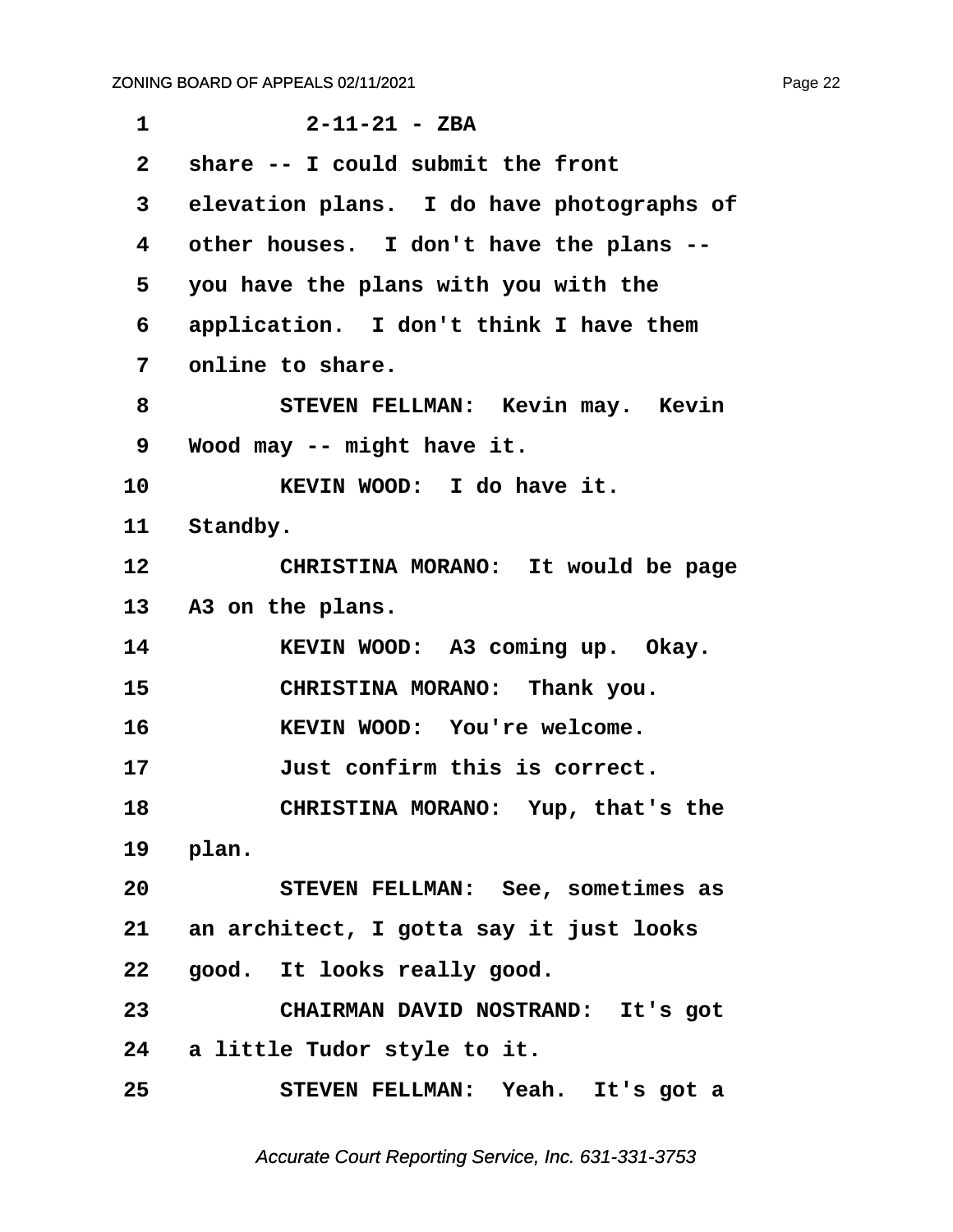<span id="page-22-0"></span>

| $\mathbf{1}$ | $2 - 11 - 21 - ZBA$                        |  |  |
|--------------|--------------------------------------------|--|--|
| $\mathbf{2}$ | share -- I could submit the front          |  |  |
| 3            | elevation plans. I do have photographs of  |  |  |
| 4            | other houses. I don't have the plans --    |  |  |
| 5            | you have the plans with you with the       |  |  |
| 6            | application. I don't think I have them     |  |  |
| 7            | online to share.                           |  |  |
| 8            | STEVEN FELLMAN: Kevin may. Kevin           |  |  |
| 9            | Wood may -- might have it.                 |  |  |
| 10           | KEVIN WOOD: I do have it.                  |  |  |
| 11           | Standby.                                   |  |  |
| 12           | CHRISTINA MORANO: It would be page         |  |  |
| 13           | A3 on the plans.                           |  |  |
| 14           | KEVIN WOOD: A3 coming up. Okay.            |  |  |
| 15           | CHRISTINA MORANO: Thank you.               |  |  |
| 16           | KEVIN WOOD: You're welcome.                |  |  |
| 17           | Just confirm this is correct.              |  |  |
| 18           | CHRISTINA MORANO: Yup, that's the          |  |  |
|              | 19 plan.                                   |  |  |
| 20           | STEVEN FELLMAN: See, sometimes as          |  |  |
|              | 21 an architect, I gotta say it just looks |  |  |
| 22           | good. It looks really good.                |  |  |
| 23           | CHAIRMAN DAVID NOSTRAND: It's got          |  |  |
|              | 24 a little Tudor style to it.             |  |  |
| 25           | STEVEN FELLMAN: Yeah. It's got a           |  |  |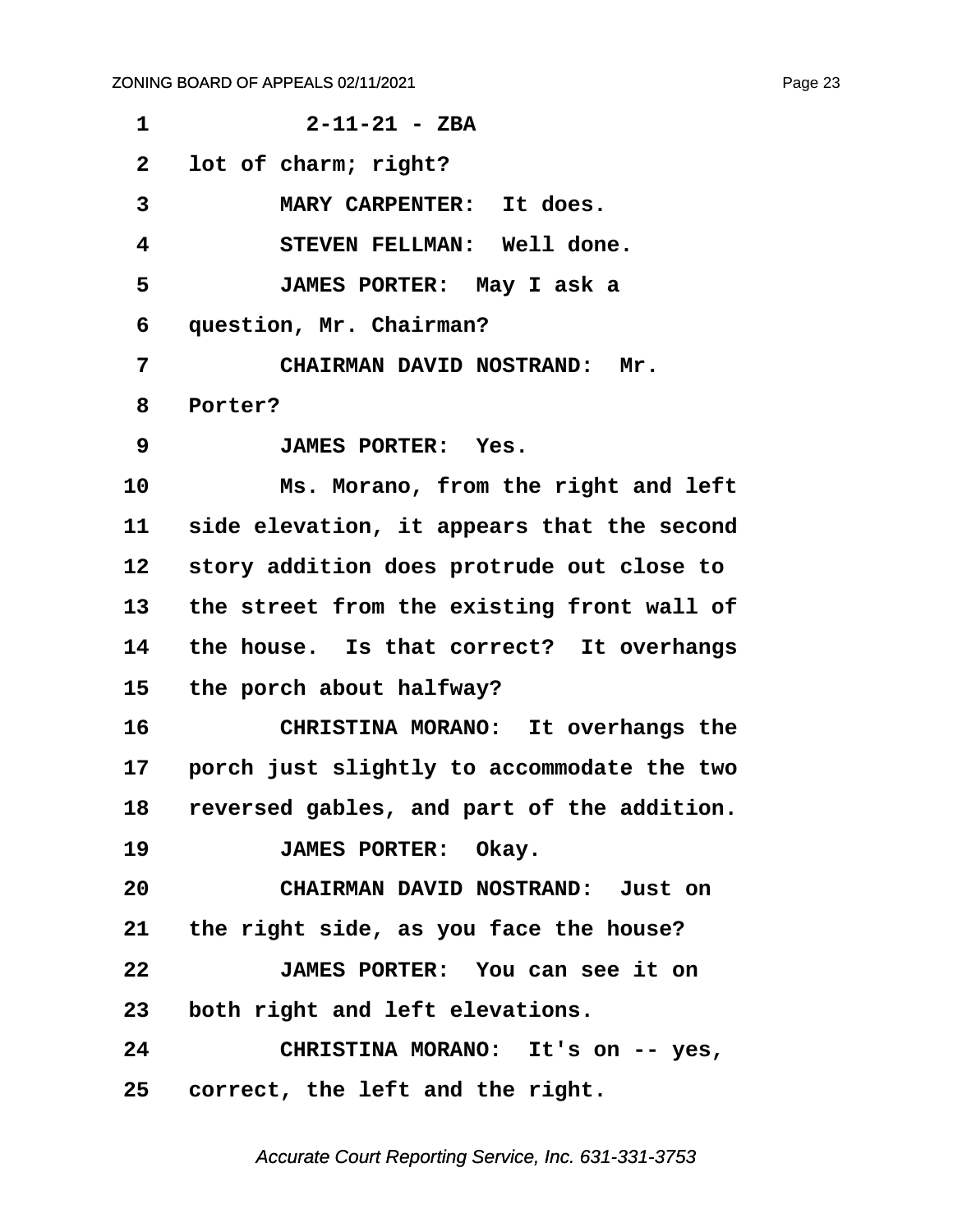<span id="page-23-0"></span>

| 1               | $2 - 11 - 21 - ZBA$                           |
|-----------------|-----------------------------------------------|
| $\mathbf{2}$    | lot of charm; right?                          |
| 3               | MARY CARPENTER: It does.                      |
| 4               | STEVEN FELLMAN: Well done.                    |
| 5               | JAMES PORTER: May I ask a                     |
| 6               | question, Mr. Chairman?                       |
| 7               | <b>CHAIRMAN DAVID NOSTRAND:</b><br>Mr.        |
| 8               | Porter?                                       |
| 9               | <b>JAMES PORTER: Yes.</b>                     |
| 10              | Ms. Morano, from the right and left           |
| 11              | side elevation, it appears that the second    |
| 12 <sub>2</sub> | story addition does protrude out close to     |
| 13              | the street from the existing front wall of    |
| 14              | the house. Is that correct? It overhangs      |
| 15              | the porch about halfway?                      |
| 16              | CHRISTINA MORANO: It overhangs the            |
| 17              | porch just slightly to accommodate the two    |
|                 | 18 reversed gables, and part of the addition. |
| 19              | JAMES PORTER: Okay.                           |
| 20              | CHAIRMAN DAVID NOSTRAND: Just on              |
|                 | 21 the right side, as you face the house?     |
| 22              | JAMES PORTER: You can see it on               |
| 23              | both right and left elevations.               |
| 24              | CHRISTINA MORANO: It's on -- yes,             |
|                 | 25 correct, the left and the right.           |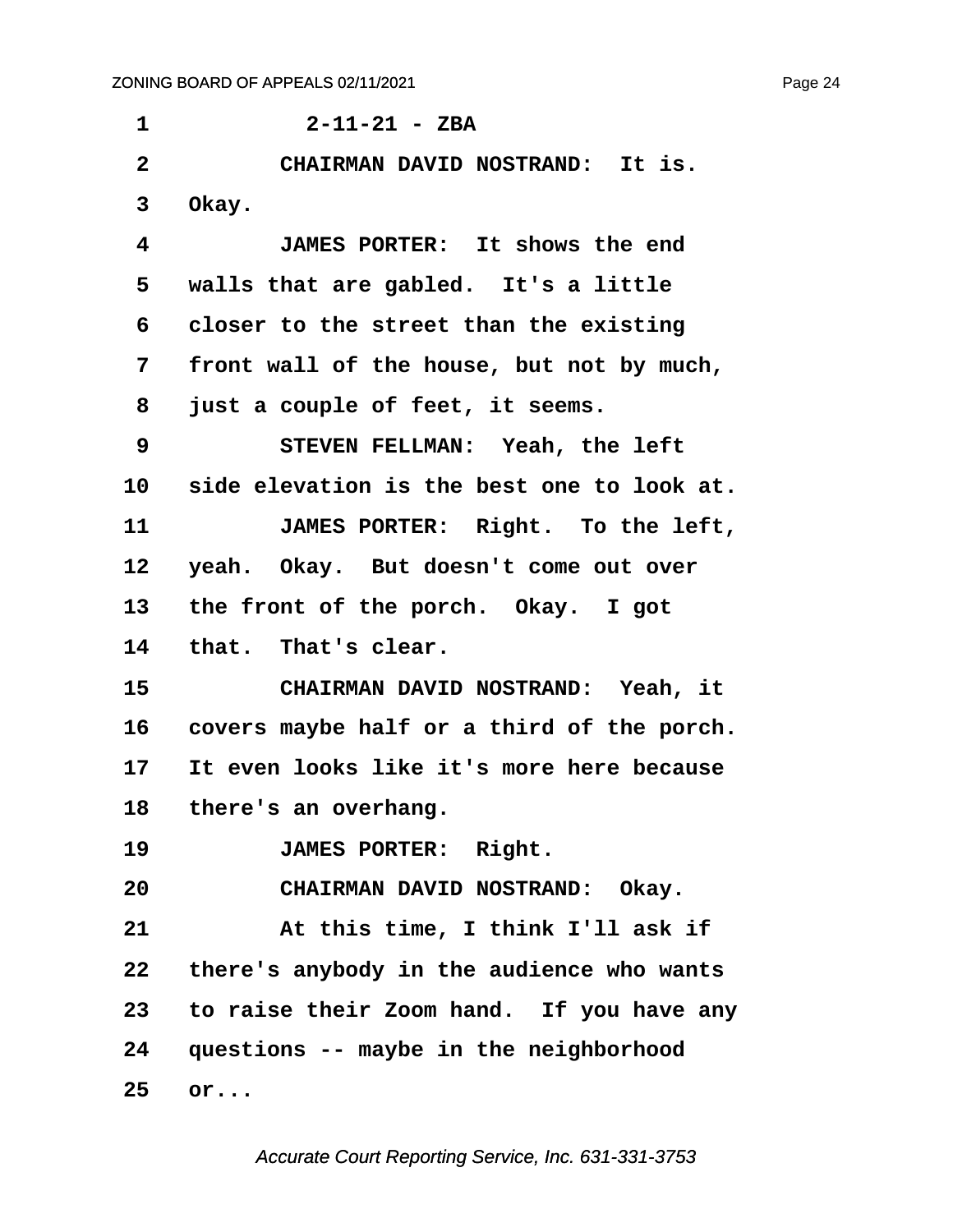<span id="page-24-0"></span>

| 1              | $2 - 11 - 21 - ZBA$                        |
|----------------|--------------------------------------------|
| $\overline{2}$ | CHAIRMAN DAVID NOSTRAND: It is.            |
| 3              | Okay.                                      |
| 4              | JAMES PORTER: It shows the end             |
| 5              | walls that are gabled. It's a little       |
| 6              | closer to the street than the existing     |
| 7              | front wall of the house, but not by much,  |
| 8              | just a couple of feet, it seems.           |
| 9              | STEVEN FELLMAN: Yeah, the left             |
| 10             | side elevation is the best one to look at. |
| 11             | JAMES PORTER: Right. To the left,          |
| 12             | yeah. Okay. But doesn't come out over      |
| 13             | the front of the porch. Okay. I got        |
| 14             | that. That's clear.                        |
| 15             | CHAIRMAN DAVID NOSTRAND: Yeah, it          |
| 16             | covers maybe half or a third of the porch. |
| 17             | It even looks like it's more here because  |
| 18             | there's an overhang.                       |
| 19             | JAMES PORTER: Right.                       |
| 20             | CHAIRMAN DAVID NOSTRAND: Okay.             |
| 21             | At this time, I think I'll ask if          |
| 22             | there's anybody in the audience who wants  |
| 23             | to raise their Zoom hand. If you have any  |
|                | 24 questions -- maybe in the neighborhood  |
| 25             | or                                         |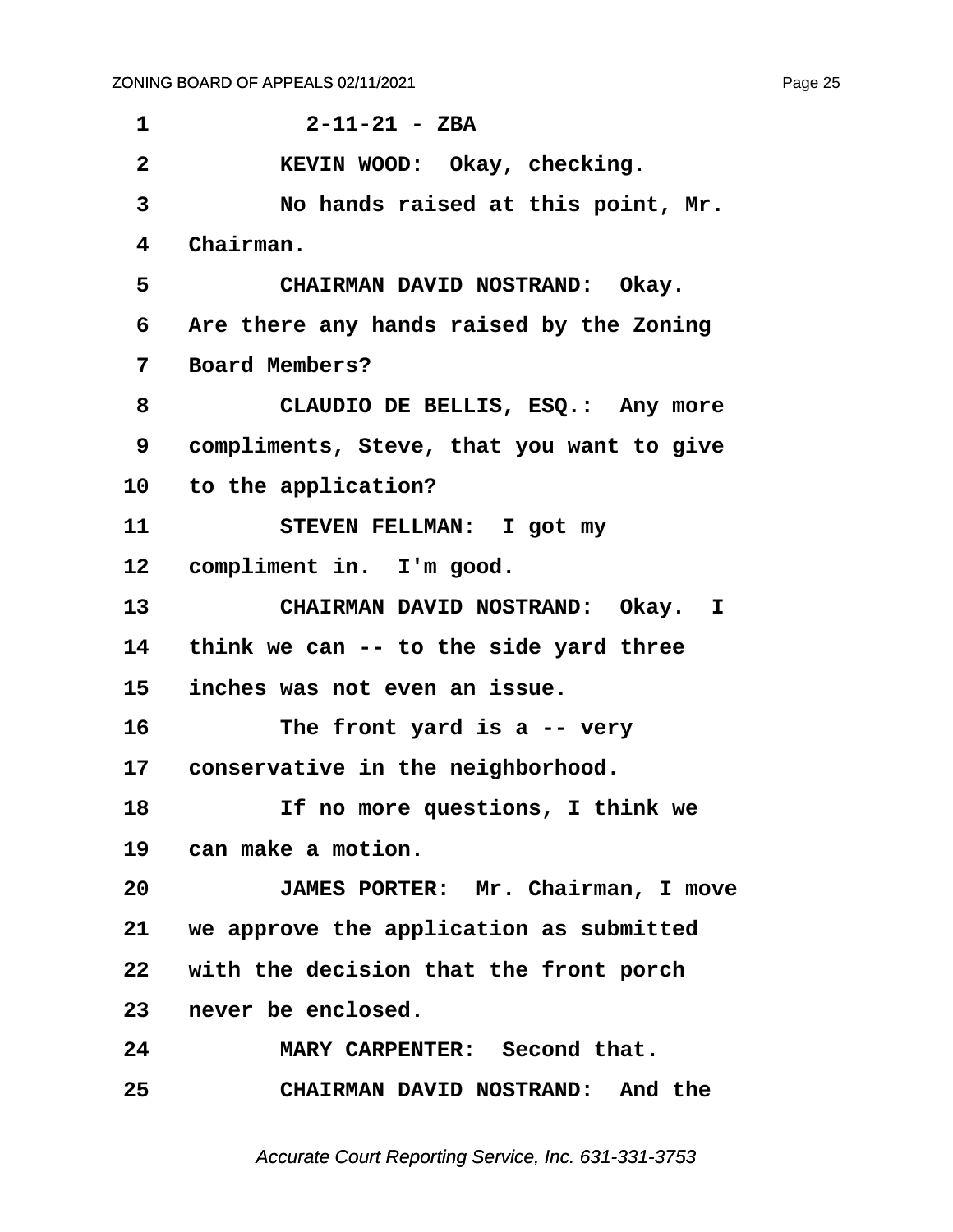<span id="page-25-0"></span>**·1· · · · · · 2-11-21 - ZBA ·2· · · · · KEVIN WOOD:· Okay, checking. ·3· · · · · No hands raised at this point, Mr. ·4· ·Chairman.** 5 **· · CHAIRMAN DAVID NOSTRAND: Okay. ·6· ·Are there any hands raised by the Zoning ·7· ·Board Members? ·8· · · · · CLAUDIO DE BELLIS, ESQ.:· Any more ·9· ·compliments, Steve, that you want to give** 10 to the application? 11 STEVEN FELLMAN: I got my 12 compliment in. I'm good. 13 **· · CHAIRMAN DAVID NOSTRAND:** Okay. I **14· ·think we can -- to the side yard three 15· ·inches was not even an issue. 16· · · · · The front yard is a -- very** 17 conservative in the neighborhood. **18· · · · · If no more questions, I think we** 19 can make a motion. **20· · · · · JAMES PORTER:· Mr. Chairman, I move 21· ·we approve the application as submitted 22· ·with the decision that the front porch** 23 never be enclosed. **24· · · · · MARY CARPENTER:· Second that. 25· · · · · CHAIRMAN DAVID NOSTRAND:· And the**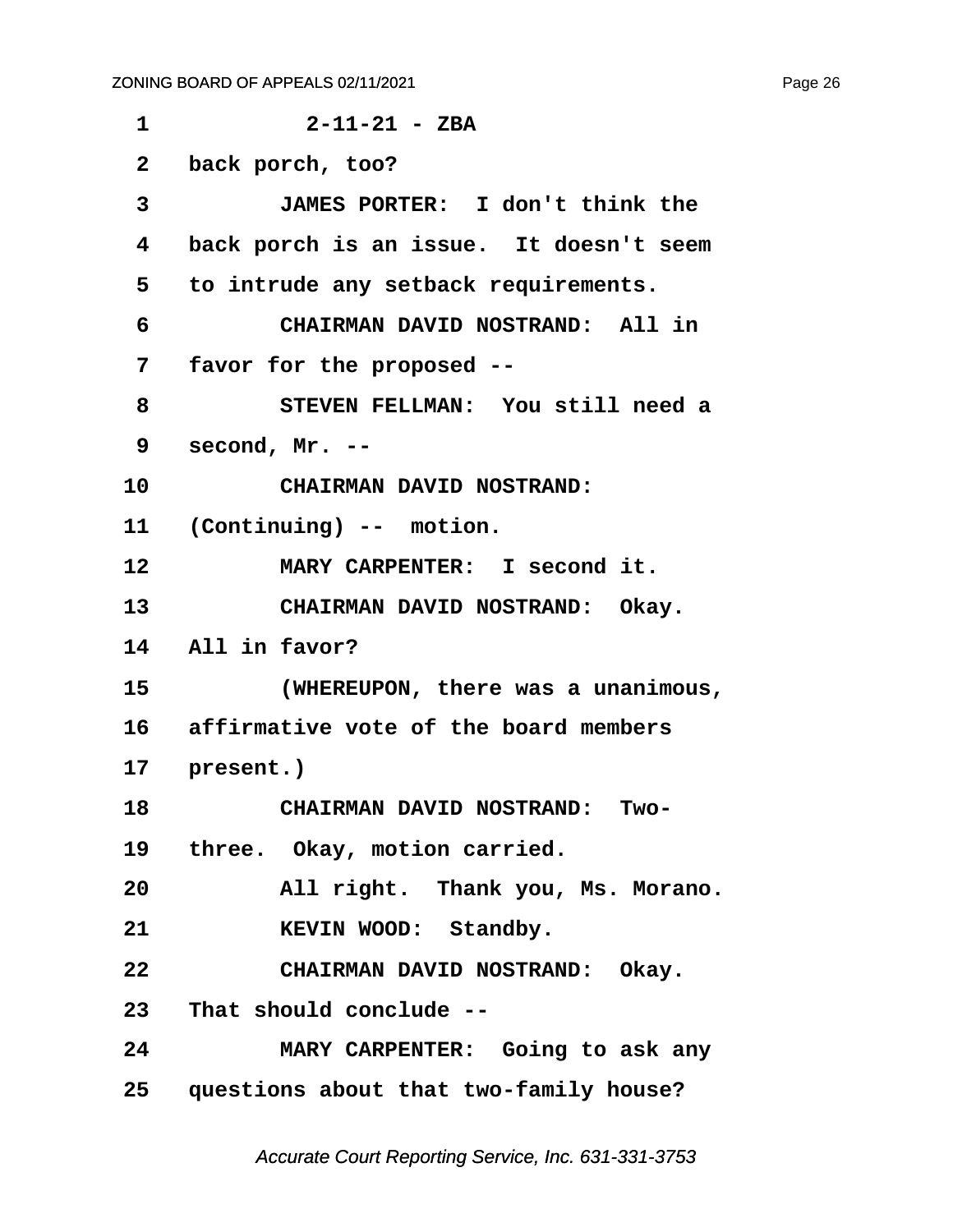<span id="page-26-0"></span>

| 1            | $2 - 11 - 21 - ZBA$                       |
|--------------|-------------------------------------------|
| $\mathbf{2}$ | back porch, too?                          |
| 3            | JAMES PORTER: I don't think the           |
| 4            | back porch is an issue. It doesn't seem   |
| 5            | to intrude any setback requirements.      |
| 6            | CHAIRMAN DAVID NOSTRAND: All in           |
| 7            | favor for the proposed --                 |
| 8            | STEVEN FELLMAN: You still need a          |
| 9            | second, $Mr. -$                           |
| 10           | CHAIRMAN DAVID NOSTRAND:                  |
|              | 11 (Continuing) -- motion.                |
| 12           | MARY CARPENTER: I second it.              |
| 13           | CHAIRMAN DAVID NOSTRAND: Okay.            |
| 14           | All in favor?                             |
| 15           | (WHEREUPON, there was a unanimous,        |
|              | 16 affirmative vote of the board members  |
|              | 17 present.)                              |
| 18           | <b>CHAIRMAN DAVID NOSTRAND:</b><br>Two-   |
|              | 19 three. Okay, motion carried.           |
| 20           | All right. Thank you, Ms. Morano.         |
| 21           | KEVIN WOOD: Standby.                      |
| 22           | CHAIRMAN DAVID NOSTRAND: Okay.            |
|              | 23 That should conclude --                |
| 24           | MARY CARPENTER: Going to ask any          |
|              | 25 questions about that two-family house? |
|              |                                           |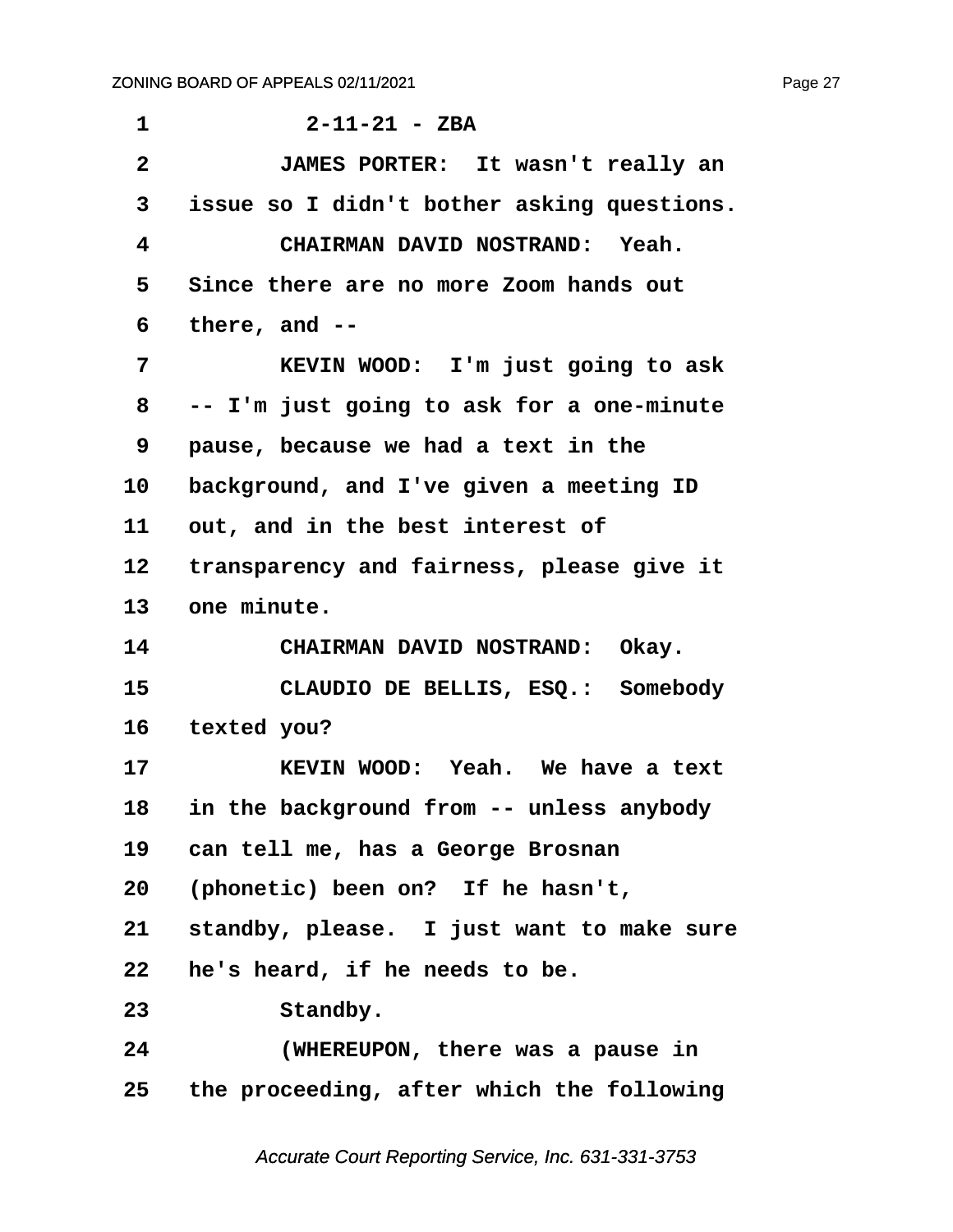| 1            | $2 - 11 - 21 - ZBA$                        |
|--------------|--------------------------------------------|
| $\mathbf{2}$ | JAMES PORTER: It wasn't really an          |
| 3            | issue so I didn't bother asking questions. |
| 4            | CHAIRMAN DAVID NOSTRAND: Yeah.             |
| 5            | Since there are no more Zoom hands out     |
| 6            | there, and $--$                            |
| 7            | KEVIN WOOD: I'm just going to ask          |
| 8            | -- I'm just going to ask for a one-minute  |
| 9            | pause, because we had a text in the        |
| 10           | background, and I've given a meeting ID    |
| 11           | out, and in the best interest of           |
| 12           | transparency and fairness, please give it  |
| 13           | one minute.                                |
| 14           | CHAIRMAN DAVID NOSTRAND: Okay.             |
| 15           | CLAUDIO DE BELLIS, ESQ.: Somebody          |
| 16           | texted you?                                |
| 17           | KEVIN WOOD: Yeah. We have a text           |
| 18           | in the background from -- unless anybody   |
| 19           | can tell me, has a George Brosnan          |
| 20           | (phonetic) been on? If he hasn't,          |
| 21           | standby, please. I just want to make sure  |
| 22           | he's heard, if he needs to be.             |
| 23           | Standby.                                   |
| 24           | (WHEREUPON, there was a pause in           |
| 25           | the proceeding, after which the following  |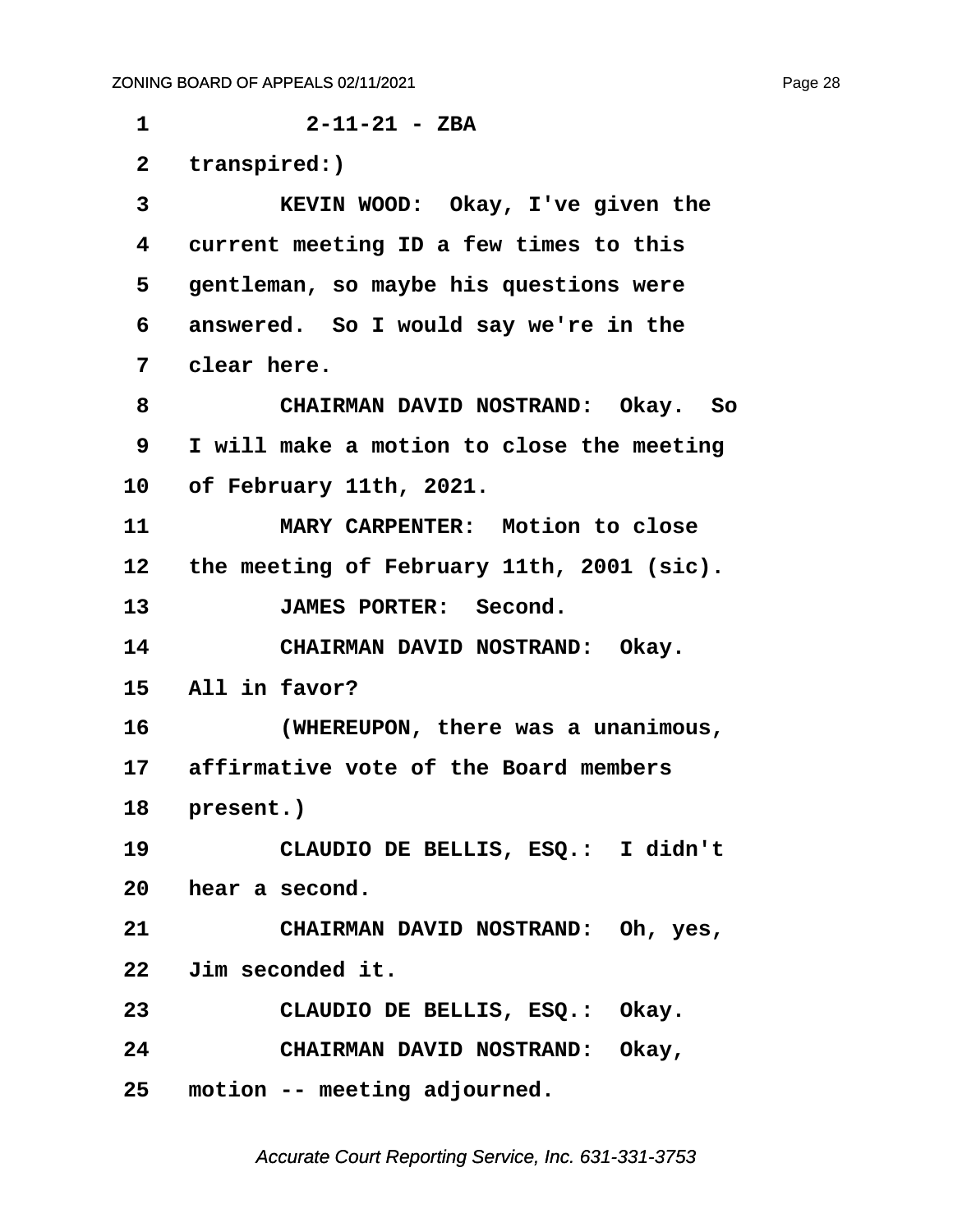**·1· · · · · · 2-11-21 - ZBA** 2 transpired:) **·3· · · · · KEVIN WOOD:· Okay, I've given the ·4· ·current meeting ID a few times to this ·5· ·gentleman, so maybe his questions were ·6· ·answered.· So I would say we're in the ·7· ·clear here. ·8· · · · · CHAIRMAN DAVID NOSTRAND:· Okay.· So ·9· ·I will make a motion to close the meeting 10· ·of February 11th, 2021.** 11 **MARY CARPENTER:** Motion to close 12 the meeting of February 11th, 2001 (sic). 13 **JAMES PORTER:** Second. 14 **CHAIRMAN DAVID NOSTRAND:** Okay. 15 All in favor? **16· · · · · (WHEREUPON, there was a unanimous, 17· ·affirmative vote of the Board members** 18 **present.**) **19· · · · · CLAUDIO DE BELLIS, ESQ.:· I didn't** 20 **hear a second. 21· · · · · CHAIRMAN DAVID NOSTRAND:· Oh, yes, 22· ·Jim seconded it. 23· · · · · CLAUDIO DE BELLIS, ESQ.:· Okay. 24· · · · · CHAIRMAN DAVID NOSTRAND:· Okay,**

**25· ·motion -- meeting adjourned.**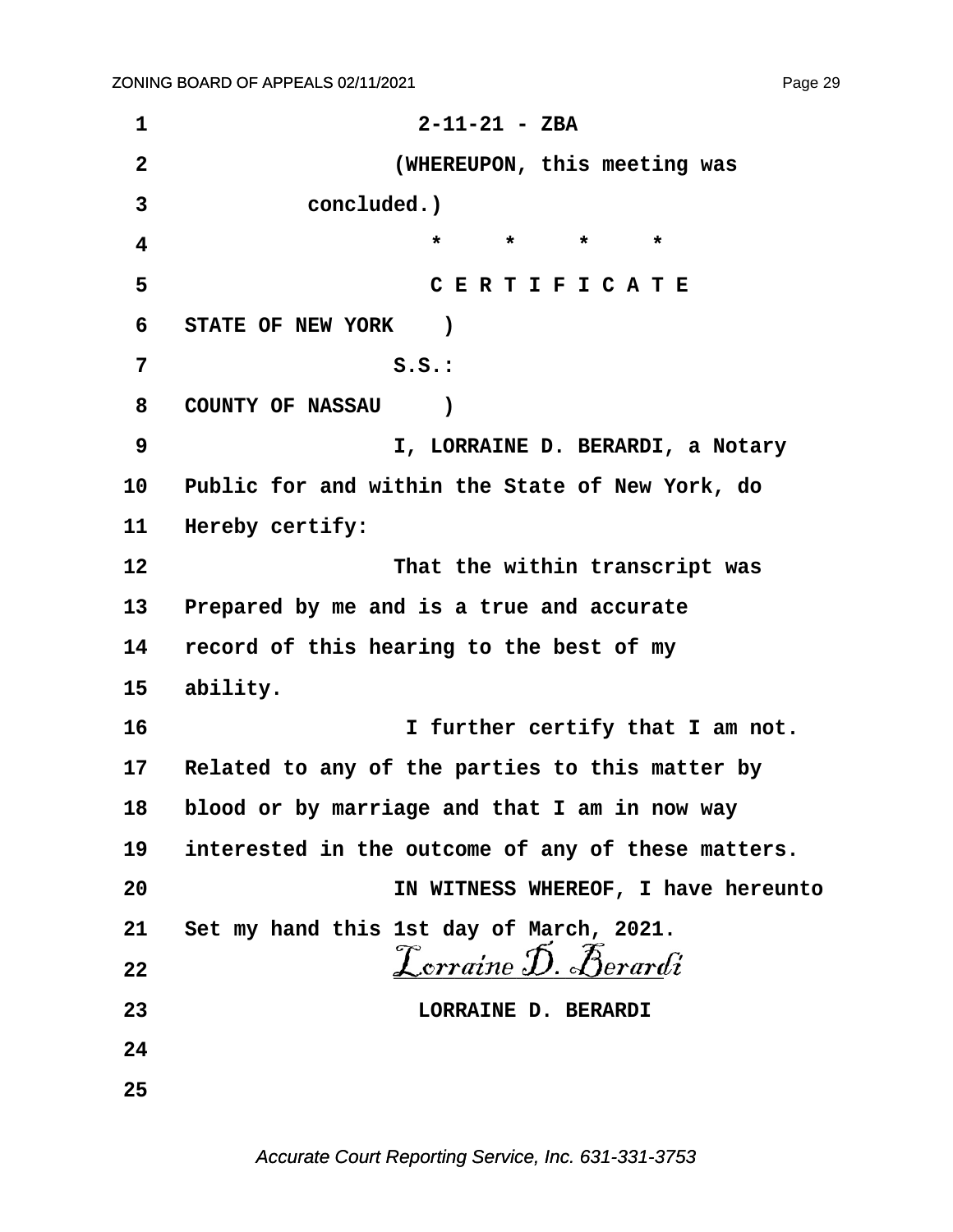$2 - 11 - 21 - ZBA$  $\mathbf{1}$  $\overline{2}$ (WHEREUPON, this meeting was  $\overline{3}$ concluded.)  $\overline{\mathbf{4}}$  $\star$  $\star$  $\star$  $\star$ CERTIFICATE 5 6 STATE OF NEW YORK  $\overline{\phantom{a}}$ 7  $S.S.:$ 8 **COUNTY OF NASSAU**  $\lambda$ 9 I, LORRAINE D. BERARDI, a Notary  $10<sup>°</sup>$ Public for and within the State of New York, do  $11<sup>1</sup>$ Hereby certify:  $12<sup>°</sup>$ That the within transcript was  $13<sup>2</sup>$ Prepared by me and is a true and accurate 14 record of this hearing to the best of my  $15<sub>1</sub>$ ability.  $16$ I further certify that I am not.  $17$ Related to any of the parties to this matter by 18 blood or by marriage and that I am in now way 19 interested in the outcome of any of these matters. 20 IN WITNESS WHEREOF, I have hereunto Set my hand this 1st day of March, 2021. 21  ${\mathcal{L}}$ orraine D. Berardi  $22$ LORRAINE D. BERARDI 23 24 25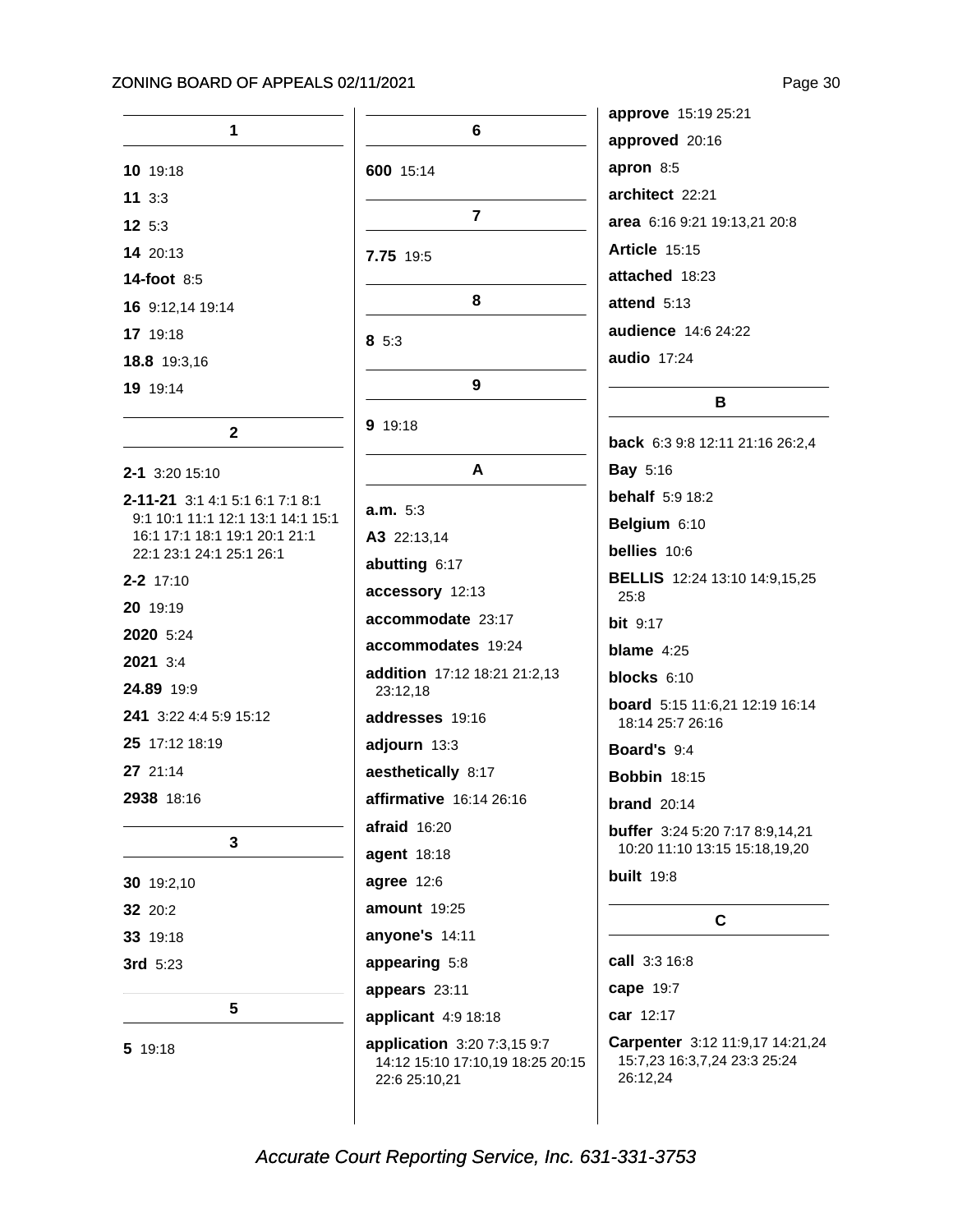| 1                                                                  |  |
|--------------------------------------------------------------------|--|
| 10 19:18                                                           |  |
| 113:3                                                              |  |
| 12 5:3                                                             |  |
| 14 20:13                                                           |  |
| <b>14-foot 8:5</b>                                                 |  |
| 16 9:12,14 19:14                                                   |  |
| 17 19:18                                                           |  |
| 18.8 19:3,16                                                       |  |
| 19 19:14                                                           |  |
|                                                                    |  |
| $\mathbf{2}$                                                       |  |
| 2-1 3:20 15:10                                                     |  |
| 2-11-21 3:1 4:1 5:1 6:1 7:1 8:1                                    |  |
| 9:1 10:1 11:1 12:1 13:1 14:1 15:1<br>16:1 17:1 18:1 19:1 20:1 21:1 |  |
| 22:1 23:1 24:1 25:1 26:1                                           |  |
| $2 - 2$ 17:10                                                      |  |
| 20 19:19                                                           |  |
| 2020 5:24                                                          |  |
| 2021 3:4                                                           |  |
| 24.89 19:9                                                         |  |
| 241 3:22 4:4 5:9 15:12                                             |  |
| 25 17:12 18:19                                                     |  |
| 27 21:14                                                           |  |
| 2938 18:16                                                         |  |
|                                                                    |  |
| 3                                                                  |  |
| 30 19:2,10                                                         |  |
| 32<br>20:2                                                         |  |
| <b>33</b> 19:18                                                    |  |
| 3rd 5:23                                                           |  |
|                                                                    |  |
| 5                                                                  |  |
| 5 19:18                                                            |  |

|                                                                                  | а |
|----------------------------------------------------------------------------------|---|
| 6                                                                                | а |
| 600 15:14                                                                        | a |
|                                                                                  | а |
| 7                                                                                | a |
| 7.75 19:5                                                                        | A |
|                                                                                  | a |
| 8                                                                                | a |
| 85:3                                                                             | a |
|                                                                                  | a |
| 9                                                                                |   |
| 9 19:18                                                                          | b |
| A                                                                                | в |
|                                                                                  | b |
| a.m. 5:3                                                                         | в |
| A3 22:13,14                                                                      | b |
| abutting 6:17                                                                    | в |
| accessory 12:13                                                                  |   |
| accommodate 23:17                                                                | b |
| accommodates 19:24                                                               | b |
| addition 17:12 18:21 21:2,13<br>23:12,18                                         | b |
| addresses 19:16                                                                  | b |
| adjourn 13:3                                                                     | в |
| aesthetically 8:17                                                               | B |
| affirmative 16:14 26:16                                                          | b |
| afraid 16:20                                                                     | b |
| agent 18:18                                                                      |   |
| agree 12:6                                                                       | b |
| amount 19:25                                                                     |   |
| anyone's 14:11                                                                   |   |
| appearing 5:8                                                                    |   |
| appears 23:11                                                                    | c |
| applicant $4:9$ 18:18                                                            |   |
| application 3:20 7:3,15 9:7<br>14:12 15:10 17:10,19 18:25 20:15<br>22:6 25:10,21 | C |

| <b>approve</b> 15:19 25:21   |
|------------------------------|
| approved 20:16               |
| apron $8:5$                  |
| architect 22:21              |
| area 6:16 9:21 19:13,21 20:8 |
| Article $15:15$              |
| attached 18:23               |
| attend $5:13$                |
| <b>audience</b> 14:6 24:22   |
| audio $17:24$                |

### $\mathbf B$

back 6:3 9:8 12:11 21:16 26:2,4 **Bay 5:16 behalf** 5:9 18:2 Belgium 6:10 bellies 10:6 BELLIS 12:24 13:10 14:9,15,25 25:8 **bit** 9:17 blame  $4:25$ blocks 6:10 board 5:15 11:6,21 12:19 16:14 18:14 25:7 26:16 Board's 9:4 **Bobbin 18:15 brand** 20:14 buffer 3:24 5:20 7:17 8:9,14,21 10:20 11:10 13:15 15:18,19,20 **built** 19:8  $\mathbf c$ call 3:3 16:8 cape 19:7 car 12:17

Carpenter 3:12 11:9,17 14:21,24 15:7,23 16:3,7,24 23:3 25:24 26:12,24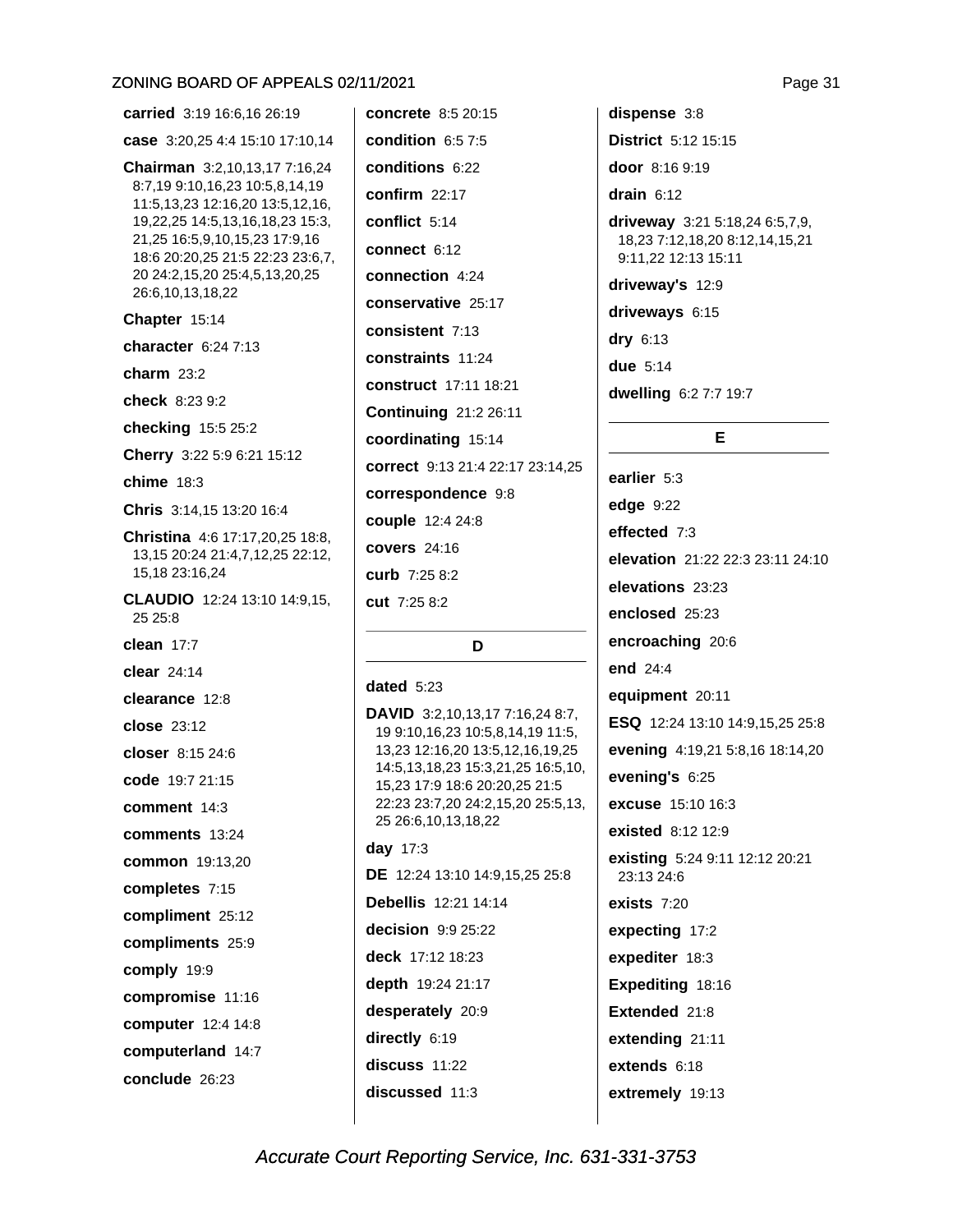carried 3:19 16:6.16 26:19 case 3:20,25 4:4 15:10 17:10,14 Chairman 3:2,10,13,17 7:16,24 8:7,19 9:10,16,23 10:5,8,14,19 11:5,13,23 12:16,20 13:5,12,16, 19,22,25 14:5,13,16,18,23 15:3, 21,25 16:5,9,10,15,23 17:9,16 18:6 20:20,25 21:5 22:23 23:6,7, 20 24:2,15,20 25:4,5,13,20,25 26:6,10,13,18,22 Chapter 15:14 character  $6:247:13$ charm  $23:2$ check 8:23 9:2 checking 15:5 25:2 Cherry 3:22 5:9 6:21 15:12 chime  $18:3$ Chris 3:14.15 13:20 16:4 Christina 4:6 17:17,20,25 18:8, 13, 15 20: 24 21: 4, 7, 12, 25 22: 12, 15,18 23:16,24 CLAUDIO 12:24 13:10 14:9,15, 25 25:8 clean  $17:7$ clear  $24.14$ clearance 12:8 close 23:12 closer 8:15 24:6 code 19:7 21:15 comment 14:3 comments 13:24 common 19:13,20 completes 7:15 compliment 25:12 compliments 25:9 comply 19:9 compromise 11:16 computer 12:4 14:8 computerland 14:7 conclude 26:23

concrete 8:5 20:15 condition  $6:57:5$ conditions 6:22 confirm 22:17 conflict 5:14 connect  $6:12$ connection 4:24 conservative 25:17 consistent 7:13 constraints 11:24 construct 17:11 18:21 **Continuing 21:2 26:11** coordinating 15:14 correct 9:13 21:4 22:17 23:14.25 correspondence 9:8 couple 12:4 24:8 covers 24:16 curb 7:25 8:2 cut 7:25 8:2

### D

### dated  $5:23$

DAVID 3:2,10,13,17 7:16,24 8:7, 19 9:10, 16, 23 10: 5, 8, 14, 19 11: 5, 13,23 12:16,20 13:5,12,16,19,25 14:5,13,18,23 15:3,21,25 16:5,10, 15,23 17:9 18:6 20:20,25 21:5 22:23 23:7,20 24:2,15,20 25:5,13, 25 26:6,10,13,18,22 day 17:3 DE 12:24 13:10 14:9,15,25 25:8 **Debellis** 12:21 14:14

decision  $9:9.25:22$ deck 17:12 18:23 depth 19:24 21:17 desperately 20:9 directly 6:19 discuss 11:22 discussed 11:3

dispense 3:8 **District** 5:12 15:15 door 8:16 9:19 drain  $6:12$ driveway 3:21 5:18,24 6:5,7,9, 18,23 7:12,18,20 8:12,14,15,21 9:11,22 12:13 15:11 driveway's 12:9 driveways 6:15  $\text{dry } 6:13$ **due** 5:14 dwelling 6:2 7:7 19:7

### E.

earlier 5:3 edge 9:22 effected 7:3 elevation 21:22 22:3 23:11 24:10 elevations 23:23 enclosed 25:23 encroaching 20:6 end 24:4 equipment 20:11 ESQ 12:24 13:10 14:9.15.25 25:8 evening 4:19,21 5:8,16 18:14,20 evening's 6:25 excuse 15:10 16:3 existed 8:12 12:9 existing 5:24 9:11 12:12 20:21 23:13 24:6 exists  $7:20$ expecting 17:2 expediter 18:3 Expediting 18:16 Extended 21:8 extending 21:11 extends 6:18 extremely 19:13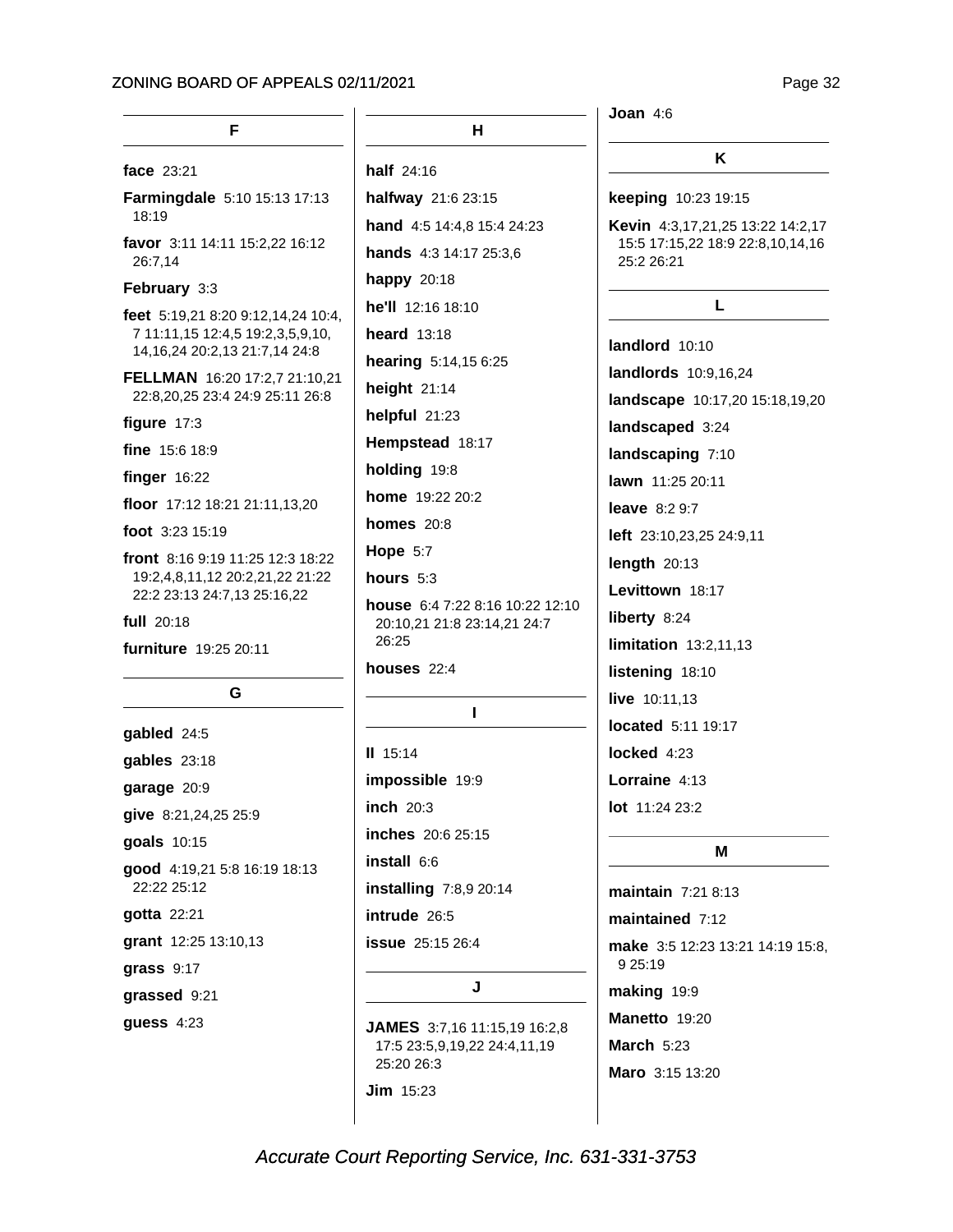Page 32

| F                                                                | Н.                                                                      | Joan $4:6$                                     |
|------------------------------------------------------------------|-------------------------------------------------------------------------|------------------------------------------------|
| face 23:21                                                       | half $24:16$                                                            | ĸ                                              |
| Farmingdale 5:10 15:13 17:13                                     | halfway 21:6 23:15                                                      | keeping 10:23 19:15                            |
| 18:19                                                            | hand 4:5 14:4,8 15:4 24:23                                              | Kevin 4:3,17,21,25 13:22 14:2,17               |
| favor 3:11 14:11 15:2,22 16:12<br>26:7,14                        | hands 4:3 14:17 25:3,6                                                  | 15:5 17:15,22 18:9 22:8,10,14,16<br>25:2 26:21 |
| February 3:3                                                     | happy 20:18                                                             |                                                |
| feet 5:19,21 8:20 9:12,14,24 10:4,                               | <b>he'll</b> $12:16$ $18:10$                                            | L                                              |
| 7 11:11,15 12:4,5 19:2,3,5,9,10,                                 | heard $13:18$                                                           | landlord 10:10                                 |
| 14, 16, 24 20: 2, 13 21: 7, 14 24: 8                             | hearing 5:14,15 6:25                                                    | landlords 10:9,16,24                           |
| FELLMAN 16:20 17:2,7 21:10,21<br>22:8,20,25 23:4 24:9 25:11 26:8 | height $21:14$                                                          | landscape 10:17,20 15:18,19,20                 |
| figure 17:3                                                      | helpful 21:23                                                           | landscaped 3:24                                |
| fine 15:6 18:9                                                   | Hempstead 18:17                                                         | landscaping 7:10                               |
| finger $16:22$                                                   | holding 19:8                                                            | lawn 11:25 20:11                               |
| floor 17:12 18:21 21:11,13,20                                    | <b>home</b> 19:22 20:2                                                  | <b>leave</b> 8:2 9:7                           |
| foot 3:23 15:19                                                  | homes $20:8$                                                            | left 23:10,23,25 24:9,11                       |
| front 8:16 9:19 11:25 12:3 18:22                                 | <b>Hope 5:7</b>                                                         | length $20:13$                                 |
| 19:2,4,8,11,12 20:2,21,22 21:22                                  | hours $5:3$                                                             | Levittown 18:17                                |
| 22:2 23:13 24:7,13 25:16,22                                      | house 6:4 7:22 8:16 10:22 12:10<br>20:10,21 21:8 23:14,21 24:7<br>26:25 | liberty 8:24                                   |
| full 20:18                                                       |                                                                         | limitation 13:2,11,13                          |
| furniture 19:25 20:11                                            | houses $22:4$                                                           | listening 18:10                                |
| G                                                                |                                                                         | live 10:11,13                                  |
|                                                                  |                                                                         | located 5:11 19:17                             |
| gabled 24:5                                                      | $II$ 15:14                                                              | locked $4:23$                                  |
| gables 23:18                                                     | impossible 19:9                                                         | Lorraine 4:13                                  |
| garage 20:9                                                      |                                                                         |                                                |
| give 8:21,24,25 25:9                                             | inch 20:3                                                               | <b>lot</b> $11:2423:2$                         |
| goals 10:15                                                      | inches 20:6 25:15                                                       | M                                              |
| good 4:19,21 5:8 16:19 18:13<br>22:22 25:12                      | install 6:6<br>installing 7:8,9 20:14                                   | maintain 7:21 8:13                             |
| gotta 22:21                                                      | intrude 26:5                                                            | maintained 7:12                                |
| grant 12:25 13:10,13                                             | <b>issue</b> 25:15 26:4                                                 | make 3:5 12:23 13:21 14:19 15:8,               |
| grass 9:17                                                       |                                                                         | 9 25:19                                        |
| grassed 9:21                                                     | J                                                                       | making 19:9                                    |

**guess 4:23** 

### Manetto 19:20 **March 5:23** Maro 3:15 13:20

Accurate Court Reporting Service, Inc. 631-331-3753

JAMES 3:7,16 11:15,19 16:2,8 17:5 23:5,9,19,22 24:4,11,19

25:20 26:3

**Jim** 15:23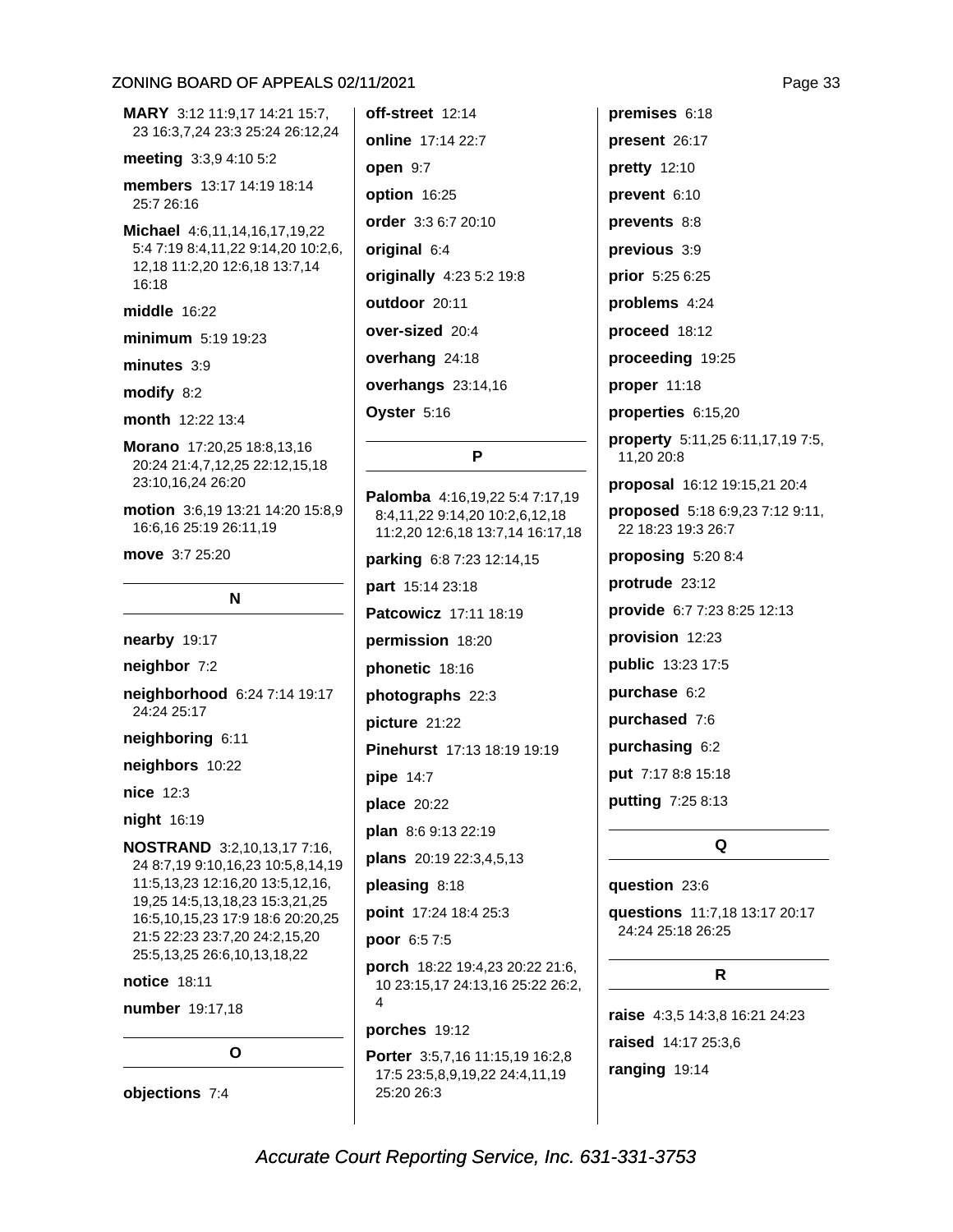MARY 3:12 11:9,17 14:21 15:7, 23 16:3,7,24 23:3 25:24 26:12,24 meeting 3:3,9 4:10 5:2 members 13:17 14:19 18:14 25:7 26:16 Michael 4:6,11,14,16,17,19,22 5:4 7:19 8:4,11,22 9:14,20 10:2,6, 12,18 11:2,20 12:6,18 13:7,14 16:18 middle 16:22 minimum 5:19 19:23  $minutes 3:9$ modify 8:2 month 12:22 13:4 Morano 17:20,25 18:8,13,16 20:24 21:4,7,12,25 22:12,15,18 23:10,16,24 26:20 motion 3:6,19 13:21 14:20 15:8,9 16:6,16 25:19 26:11,19 move 3:7 25:20 N nearby 19:17

neighbor 7:2 neighborhood 6:24 7:14 19:17 24:24 25:17 neighboring 6:11 neighbors 10:22 nice 12:3 night 16:19

NOSTRAND 3:2,10,13,17 7:16, 24 8:7,19 9:10,16,23 10:5,8,14,19 11:5,13,23 12:16,20 13:5,12,16, 19,25 14:5,13,18,23 15:3,21,25 16:5,10,15,23 17:9 18:6 20:20,25 21:5 22:23 23:7,20 24:2,15,20 25:5, 13, 25 26:6, 10, 13, 18, 22

notice 18:11

number 19:17,18

 $\Omega$ 

objections 7:4

off-street 12:14 online 17:14 22:7 open 9:7 option 16:25 order 3:3 6:7 20:10 original 6:4 originally 4:23 5:2 19:8 outdoor 20:11 over-sized 20:4 overhang 24:18 overhangs 23:14,16 Oyster 5:16

#### P

Palomba 4:16,19,22 5:4 7:17,19 8:4,11,22 9:14,20 10:2,6,12,18 11:2,20 12:6,18 13:7,14 16:17,18 parking 6:8 7:23 12:14,15 part 15:14 23:18 Patcowicz 17:11 18:19 permission 18:20 phonetic 18:16 photographs 22:3 picture 21:22 Pinehurst 17:13 18:19 19:19 pipe 14:7 place 20:22 plan 8:6 9:13 22:19 plans 20:19 22:3,4,5,13 pleasing 8:18 point 17:24 18:4 25:3 poor 6:5 7:5 porch 18:22 19:4,23 20:22 21:6, 10 23:15,17 24:13,16 25:22 26:2,  $\overline{A}$ 

porches 19:12

Porter 3:5,7,16 11:15,19 16:2,8 17:5 23:5,8,9,19,22 24:4,11,19 25:20 26:3

premises 6:18 present 26:17 **pretty** 12:10 prevent 6:10 prevents 8:8 previous 3:9 prior 5:25 6:25 problems 4:24 proceed 18:12 proceeding 19:25 proper 11:18 properties 6:15,20 property 5:11,25 6:11,17,19 7:5, 11,20 20:8 proposal 16:12 19:15,21 20:4 proposed 5:18 6:9,23 7:12 9:11, 22 18:23 19:3 26:7 proposing 5:20 8:4 protrude 23:12 provide 6:7 7:23 8:25 12:13 provision 12:23 public 13:23 17:5 purchase 6:2 purchased 7:6 purchasing 6:2 put 7:17 8:8 15:18 putting 7:25 8:13

### Q

### question 23:6

questions 11:7,18 13:17 20:17 24:24 25:18 26:25

### $\mathsf{R}$

raise 4:3,5 14:3,8 16:21 24:23 raised 14:17 25:3,6 ranging 19:14

Page 33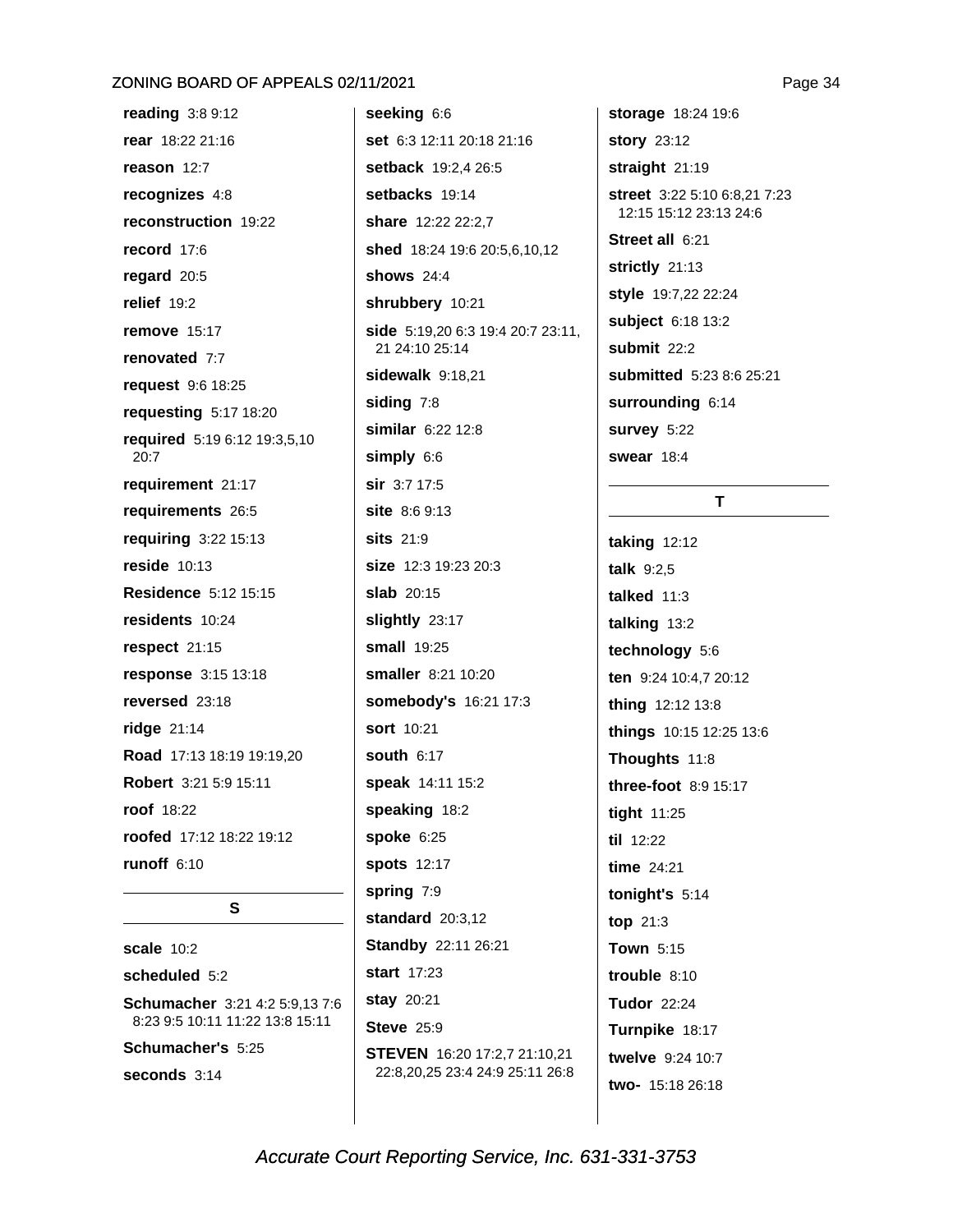reading  $3:89:12$ rear 18:22 21:16 reason  $12:7$ recognizes 4:8 reconstruction 19:22 record 17:6 regard  $20:5$ relief  $19:2$ **remove** 15:17 renovated 7:7 request 9:6 18:25 requesting 5:17 18:20 required 5:19 6:12 19:3,5,10  $20:7$ requirement 21:17 requirements 26:5 requiring 3:22 15:13 reside  $10:13$ **Residence 5:12 15:15** residents 10:24 respect 21:15 response 3:15 13:18 reversed 23:18 ridge 21:14 Road 17:13 18:19 19:19.20 Robert 3:21 5:9 15:11 roof 18:22 roofed 17:12 18:22 19:12 runoff  $6:10$ 

S

scale  $10:2$ scheduled 5:2 Schumacher 3:21 4:2 5:9,13 7:6 8:23 9:5 10:11 11:22 13:8 15:11 Schumacher's 5:25 seconds  $3:14$ 

seeking 6:6 set 6:3 12:11 20:18 21:16 setback 19:2.4 26:5 setbacks 19:14 share 12:22 22:2.7 shed 18:24 19:6 20:5,6,10,12 shows  $24:4$ shrubbery 10:21 side 5:19,20 6:3 19:4 20:7 23:11, 21 24:10 25:14 sidewalk 9:18,21 siding 7:8 similar 6:22 12:8 simply 6:6 sir 3:7 17:5 site 8:6 9:13 **sits** 21:9 size 12:3 19:23 20:3 slab 20:15 slightly 23:17 **small** 19:25 smaller 8:21 10:20 somebody's 16:21 17:3 sort 10:21 south  $6:17$ speak 14:11 15:2 speaking 18:2 spoke  $6:25$ **spots** 12:17 spring 7:9 standard  $20:3.12$ **Standby 22:11 26:21** start 17:23 stay 20:21 **Steve 25:9** STEVEN 16:20 17:2,7 21:10,21 22:8.20.25 23:4 24:9 25:11 26:8

storage 18:24 19:6 story 23:12 straight 21:19 street 3:22 5:10 6:8,21 7:23 12:15 15:12 23:13 24:6 Street all 6:21 strictly 21:13 style 19:7,22 22:24 subject 6:18 13:2 submit  $22:2$ submitted 5:23 8:6 25:21 surrounding 6:14 survey 5:22 swear 18:4

### T.

taking  $12:12$ talk  $9:2.5$ talked  $11:3$ talking 13:2 technology 5:6 ten 9:24 10:4,7 20:12 thing 12:12 13:8 things 10:15 12:25 13:6 Thoughts 11:8 three-foot  $8.915.17$ tight 11:25 til 12:22 time 24:21 tonight's 5:14 top  $21:3$ Town 5:15 trouble  $8:10$ **Tudor 22:24** Turnpike 18:17 twelve 9:24 10:7 two- 15:18 26:18